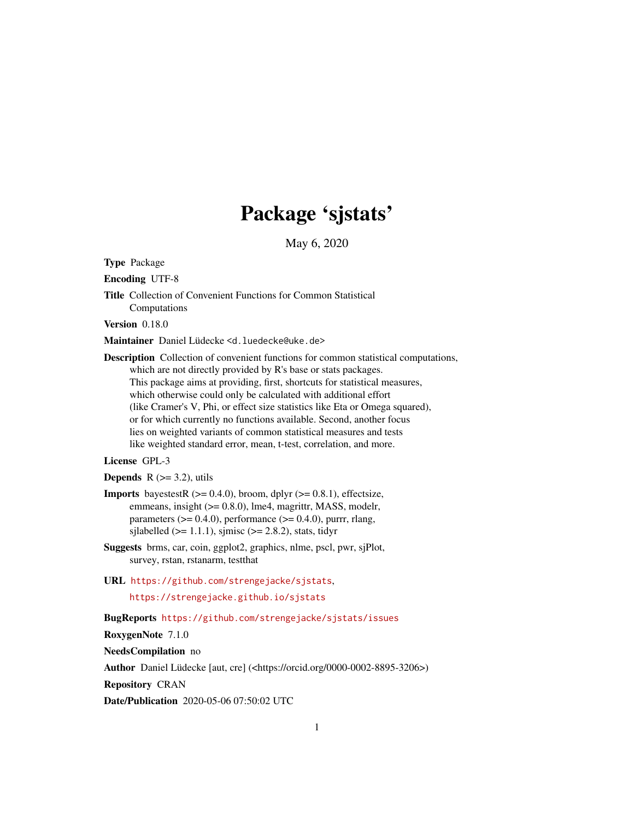# Package 'sjstats'

May 6, 2020

<span id="page-0-0"></span>Type Package

Encoding UTF-8

Title Collection of Convenient Functions for Common Statistical Computations

Version 0.18.0

Maintainer Daniel Lüdecke <d. luedecke@uke.de>

Description Collection of convenient functions for common statistical computations, which are not directly provided by R's base or stats packages. This package aims at providing, first, shortcuts for statistical measures, which otherwise could only be calculated with additional effort (like Cramer's V, Phi, or effect size statistics like Eta or Omega squared), or for which currently no functions available. Second, another focus lies on weighted variants of common statistical measures and tests like weighted standard error, mean, t-test, correlation, and more.

#### License GPL-3

**Depends**  $R$  ( $>= 3.2$ ), utils

- **Imports** bayestestR  $(>= 0.4.0)$ , broom, dplyr  $(>= 0.8.1)$ , effectsize, emmeans, insight ( $>= 0.8.0$ ), lme4, magrittr, MASS, modelr, parameters  $(>= 0.4.0)$ , performance  $(>= 0.4.0)$ , purrr, rlang, sjlabelled ( $>= 1.1.1$ ), sjmisc ( $>= 2.8.2$ ), stats, tidyr
- Suggests brms, car, coin, ggplot2, graphics, nlme, pscl, pwr, sjPlot, survey, rstan, rstanarm, testthat
- URL <https://github.com/strengejacke/sjstats>,

<https://strengejacke.github.io/sjstats>

BugReports <https://github.com/strengejacke/sjstats/issues>

RoxygenNote 7.1.0

NeedsCompilation no

Author Daniel Lüdecke [aut, cre] (<https://orcid.org/0000-0002-8895-3206>)

Repository CRAN

Date/Publication 2020-05-06 07:50:02 UTC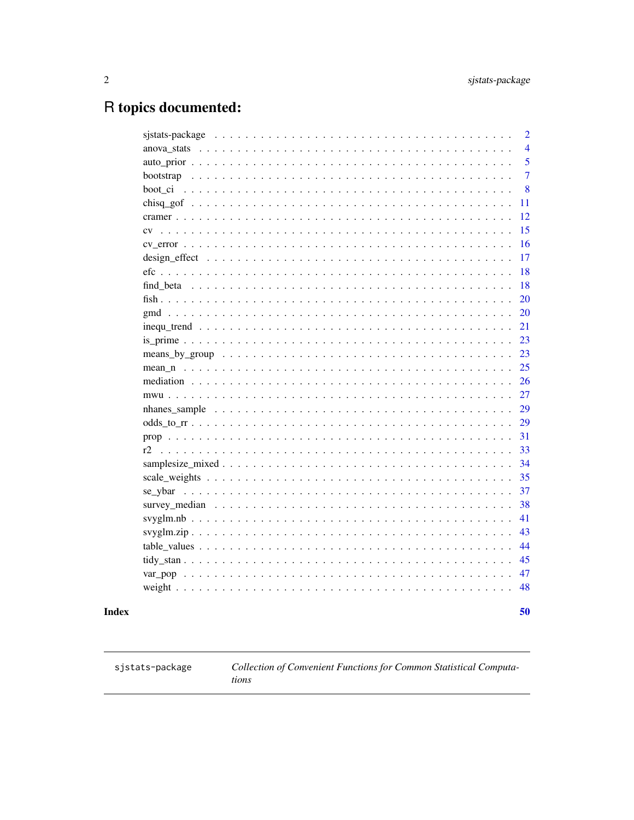## <span id="page-1-0"></span>R topics documented:

|                                                                                                                     | 50             |
|---------------------------------------------------------------------------------------------------------------------|----------------|
|                                                                                                                     |                |
|                                                                                                                     | 47<br>48       |
|                                                                                                                     |                |
|                                                                                                                     | 44<br>45       |
|                                                                                                                     | 43             |
|                                                                                                                     | 41             |
|                                                                                                                     | 38             |
|                                                                                                                     | 37             |
|                                                                                                                     | 35             |
|                                                                                                                     | 34             |
| r2                                                                                                                  | 33             |
|                                                                                                                     | 31             |
|                                                                                                                     | 29             |
|                                                                                                                     | 29             |
|                                                                                                                     | 27             |
|                                                                                                                     | 26             |
|                                                                                                                     | 25             |
|                                                                                                                     | 23             |
|                                                                                                                     | 23             |
| $inequ_trend \dots \dots \dots \dots \dots \dots \dots \dots \dots \dots \dots \dots \dots \dots \dots \dots \dots$ | 21             |
|                                                                                                                     | 20             |
|                                                                                                                     | 20             |
|                                                                                                                     | 18             |
|                                                                                                                     | 18             |
|                                                                                                                     | 17             |
|                                                                                                                     | 16             |
|                                                                                                                     | 15             |
|                                                                                                                     | 12             |
|                                                                                                                     | 11             |
| boot ci                                                                                                             | 8              |
|                                                                                                                     | $\overline{7}$ |
|                                                                                                                     | 5              |
|                                                                                                                     | 4              |
|                                                                                                                     | $\overline{2}$ |

### **Index**

sjstats-package

Collection of Convenient Functions for Common Statistical Computa $tions$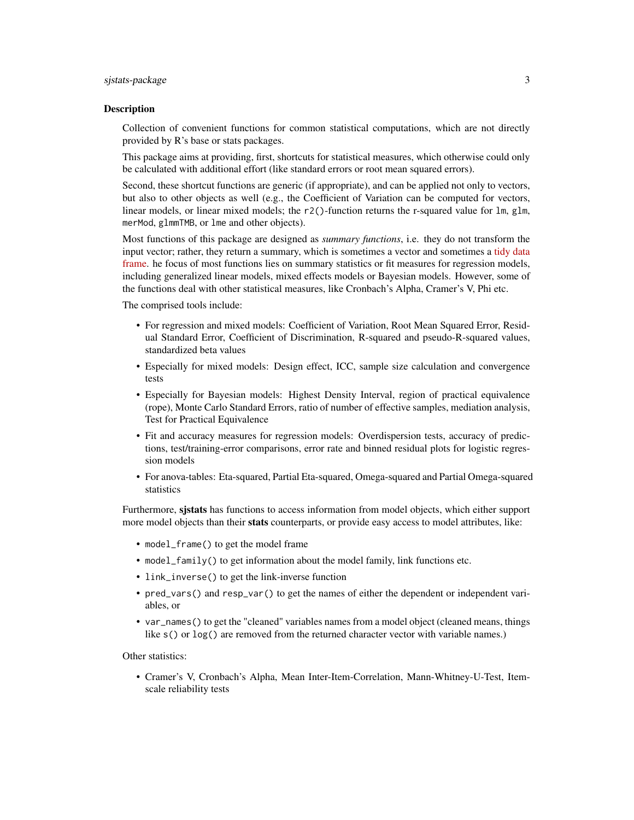#### sjstats-package 3

#### Description

Collection of convenient functions for common statistical computations, which are not directly provided by R's base or stats packages.

This package aims at providing, first, shortcuts for statistical measures, which otherwise could only be calculated with additional effort (like standard errors or root mean squared errors).

Second, these shortcut functions are generic (if appropriate), and can be applied not only to vectors, but also to other objects as well (e.g., the Coefficient of Variation can be computed for vectors, linear models, or linear mixed models; the  $r2()$ -function returns the r-squared value for  $lm$ , glm, merMod, glmmTMB, or lme and other objects).

Most functions of this package are designed as *summary functions*, i.e. they do not transform the input vector; rather, they return a summary, which is sometimes a vector and sometimes a [tidy data](https://cran.r-project.org/package=broom/vignettes/broom.html) [frame.](https://cran.r-project.org/package=broom/vignettes/broom.html) he focus of most functions lies on summary statistics or fit measures for regression models, including generalized linear models, mixed effects models or Bayesian models. However, some of the functions deal with other statistical measures, like Cronbach's Alpha, Cramer's V, Phi etc.

The comprised tools include:

- For regression and mixed models: Coefficient of Variation, Root Mean Squared Error, Residual Standard Error, Coefficient of Discrimination, R-squared and pseudo-R-squared values, standardized beta values
- Especially for mixed models: Design effect, ICC, sample size calculation and convergence tests
- Especially for Bayesian models: Highest Density Interval, region of practical equivalence (rope), Monte Carlo Standard Errors, ratio of number of effective samples, mediation analysis, Test for Practical Equivalence
- Fit and accuracy measures for regression models: Overdispersion tests, accuracy of predictions, test/training-error comparisons, error rate and binned residual plots for logistic regression models
- For anova-tables: Eta-squared, Partial Eta-squared, Omega-squared and Partial Omega-squared statistics

Furthermore, sistats has functions to access information from model objects, which either support more model objects than their stats counterparts, or provide easy access to model attributes, like:

- model\_frame() to get the model frame
- model\_family() to get information about the model family, link functions etc.
- link\_inverse() to get the link-inverse function
- pred\_vars() and resp\_var() to get the names of either the dependent or independent variables, or
- var\_names() to get the "cleaned" variables names from a model object (cleaned means, things like s() or  $log()$  are removed from the returned character vector with variable names.)

Other statistics:

• Cramer's V, Cronbach's Alpha, Mean Inter-Item-Correlation, Mann-Whitney-U-Test, Itemscale reliability tests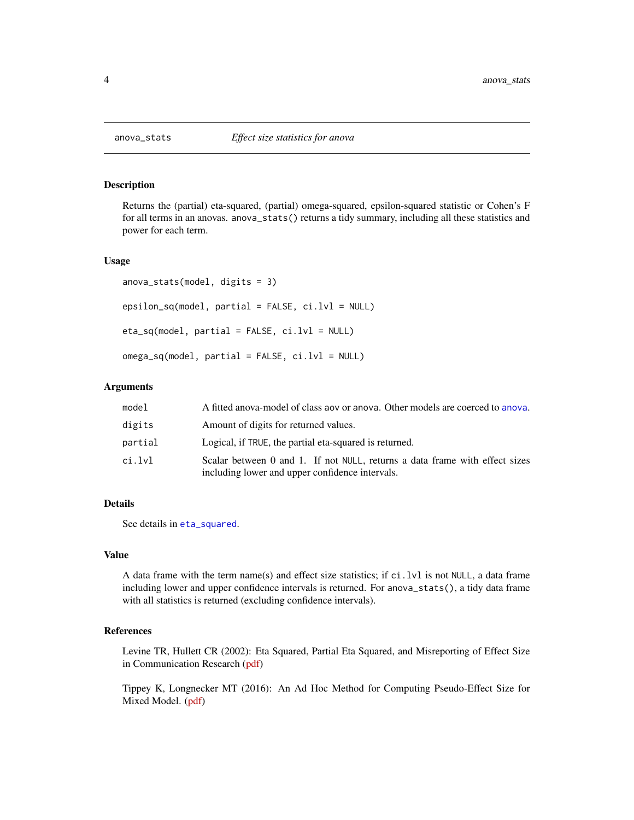<span id="page-3-0"></span>

#### Description

Returns the (partial) eta-squared, (partial) omega-squared, epsilon-squared statistic or Cohen's F for all terms in an anovas. anova\_stats() returns a tidy summary, including all these statistics and power for each term.

#### Usage

```
anova_stats(model, digits = 3)
epsilon_sq(model, partial = FALSE, ci.lvl = NULL)
eta_sq(model, partial = FALSE, ci.lvl = NULL)
omega_sq(model, partial = FALSE, ci.lvl = NULL)
```
#### Arguments

| model   | A fitted anova-model of class aov or anova. Other models are coerced to anova.                                                 |
|---------|--------------------------------------------------------------------------------------------------------------------------------|
| digits  | Amount of digits for returned values.                                                                                          |
| partial | Logical, if TRUE, the partial eta-squared is returned.                                                                         |
| ci.lvl  | Scalar between 0 and 1. If not NULL, returns a data frame with effect sizes<br>including lower and upper confidence intervals. |

#### Details

See details in [eta\\_squared](#page-0-0).

#### Value

A data frame with the term name(s) and effect size statistics; if ci.lvl is not NULL, a data frame including lower and upper confidence intervals is returned. For anova\_stats(), a tidy data frame with all statistics is returned (excluding confidence intervals).

#### References

Levine TR, Hullett CR (2002): Eta Squared, Partial Eta Squared, and Misreporting of Effect Size in Communication Research [\(pdf\)](https://www.msu.edu/~levinet/eta%20squared%20hcr.pdf)

Tippey K, Longnecker MT (2016): An Ad Hoc Method for Computing Pseudo-Effect Size for Mixed Model. [\(pdf\)](http://www.scsug.org/wp-content/uploads/2016/11/Ad-Hoc-Method-for-Computing-Effect-Size-for-Mixed-Models_PROCEEDINGS-UPDATE-1.pdf)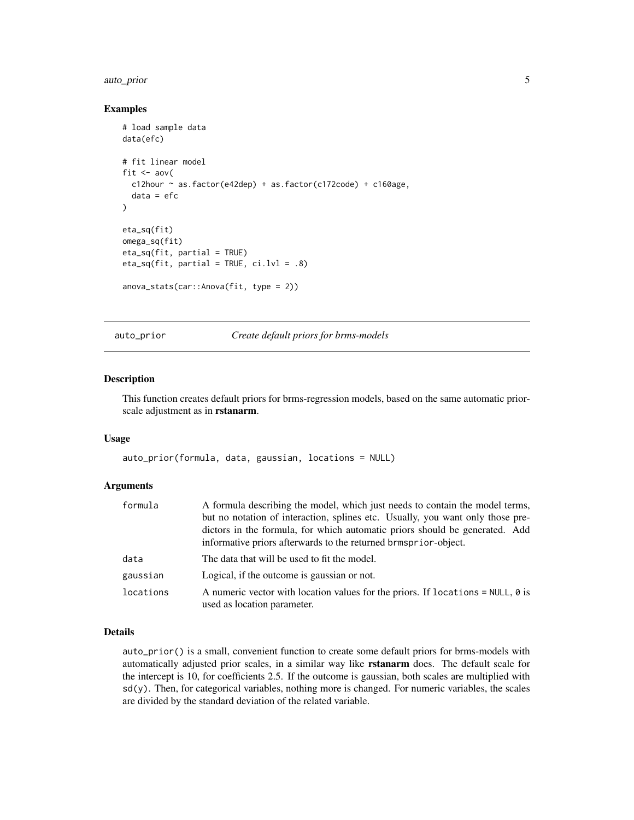#### <span id="page-4-0"></span>auto\_prior 5

#### Examples

```
# load sample data
data(efc)
# fit linear model
fit \leq aov(
  c12hour ~ as.factor(e42dep) + as.factor(c172code) + c160age,
  data = efc
\lambdaeta_sq(fit)
omega_sq(fit)
eta_sq(fit, partial = TRUE)
eta_sq(fit, partial = TRUE, ci.lvl = .8)
anova_stats(car::Anova(fit, type = 2))
```
auto\_prior *Create default priors for brms-models*

#### Description

This function creates default priors for brms-regression models, based on the same automatic priorscale adjustment as in rstanarm.

#### Usage

```
auto_prior(formula, data, gaussian, locations = NULL)
```
#### Arguments

| formula   | A formula describing the model, which just needs to contain the model terms,<br>but no notation of interaction, splines etc. Usually, you want only those pre-<br>dictors in the formula, for which automatic priors should be generated. Add<br>informative priors afterwards to the returned brmsprior-object. |
|-----------|------------------------------------------------------------------------------------------------------------------------------------------------------------------------------------------------------------------------------------------------------------------------------------------------------------------|
| data      | The data that will be used to fit the model.                                                                                                                                                                                                                                                                     |
| gaussian  | Logical, if the outcome is gaussian or not.                                                                                                                                                                                                                                                                      |
| locations | A numeric vector with location values for the priors. If locations = $NULL, 0$ is<br>used as location parameter.                                                                                                                                                                                                 |

#### Details

auto\_prior() is a small, convenient function to create some default priors for brms-models with automatically adjusted prior scales, in a similar way like rstanarm does. The default scale for the intercept is 10, for coefficients 2.5. If the outcome is gaussian, both scales are multiplied with  $sd(y)$ . Then, for categorical variables, nothing more is changed. For numeric variables, the scales are divided by the standard deviation of the related variable.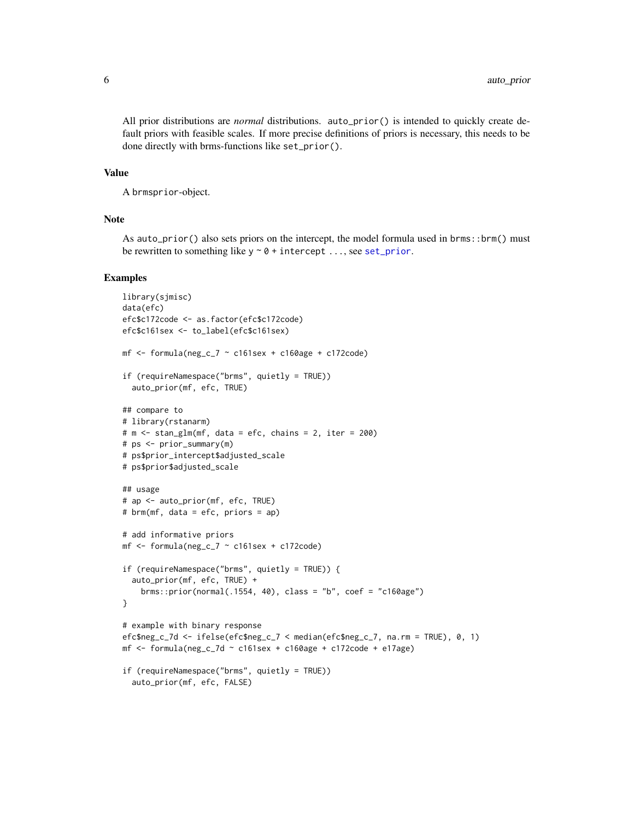<span id="page-5-0"></span>All prior distributions are *normal* distributions. auto\_prior() is intended to quickly create default priors with feasible scales. If more precise definitions of priors is necessary, this needs to be done directly with brms-functions like set\_prior().

#### Value

A brmsprior-object.

#### Note

As auto\_prior() also sets priors on the intercept, the model formula used in brms::brm() must be rewritten to something like  $y \sim 0 + i$ ntercept ..., see [set\\_prior](#page-0-0).

```
library(sjmisc)
data(efc)
efc$c172code <- as.factor(efc$c172code)
efc$c161sex <- to_label(efc$c161sex)
mf \le formula(neg_c_7 \sim c161sex + c160age + c172code)
if (requireNamespace("brms", quietly = TRUE))
  auto_prior(mf, efc, TRUE)
## compare to
# library(rstanarm)
# m <- stan_glm(mf, data = efc, chains = 2, iter = 200)
# ps <- prior_summary(m)
# ps$prior_intercept$adjusted_scale
# ps$prior$adjusted_scale
## usage
# ap <- auto_prior(mf, efc, TRUE)
# brm(mf, data = efc, priors = ap)
# add informative priors
mf \leftarrow formula(neg_c_7 \sim c161sex + c172code)
if (requireNamespace("brms", quietly = TRUE)) {
  auto_prior(mf, efc, TRUE) +
   brms::prior(normal(.1554, 40), class = "b", coef = "c160age")
}
# example with binary response
efc$neg_c_7d <- ifelse(efc$neg_c_7 < median(efc$neg_c_7, na.rm = TRUE), 0, 1)
mf \le formula(neg_c_7d \sim c161sex + c160age + c172code + e17age)
if (requireNamespace("brms", quietly = TRUE))
  auto_prior(mf, efc, FALSE)
```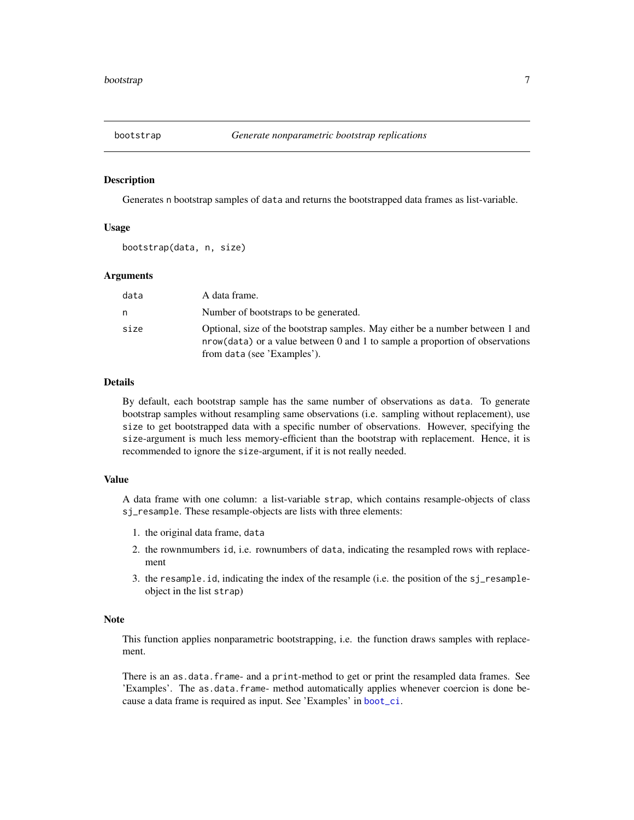<span id="page-6-1"></span><span id="page-6-0"></span>

#### Description

Generates n bootstrap samples of data and returns the bootstrapped data frames as list-variable.

#### Usage

```
bootstrap(data, n, size)
```
#### Arguments

| data | A data frame.                                                                                                                                                                                |
|------|----------------------------------------------------------------------------------------------------------------------------------------------------------------------------------------------|
| n    | Number of bootstraps to be generated.                                                                                                                                                        |
| size | Optional, size of the bootstrap samples. May either be a number between 1 and<br>nrow(data) or a value between 0 and 1 to sample a proportion of observations<br>from data (see 'Examples'). |

#### Details

By default, each bootstrap sample has the same number of observations as data. To generate bootstrap samples without resampling same observations (i.e. sampling without replacement), use size to get bootstrapped data with a specific number of observations. However, specifying the size-argument is much less memory-efficient than the bootstrap with replacement. Hence, it is recommended to ignore the size-argument, if it is not really needed.

#### Value

A data frame with one column: a list-variable strap, which contains resample-objects of class sj\_resample. These resample-objects are lists with three elements:

- 1. the original data frame, data
- 2. the rownmumbers id, i.e. rownumbers of data, indicating the resampled rows with replacement
- 3. the resample.id, indicating the index of the resample (i.e. the position of the sj\_resampleobject in the list strap)

#### Note

This function applies nonparametric bootstrapping, i.e. the function draws samples with replacement.

There is an as.data.frame- and a print-method to get or print the resampled data frames. See 'Examples'. The as.data.frame- method automatically applies whenever coercion is done because a data frame is required as input. See 'Examples' in [boot\\_ci](#page-7-1).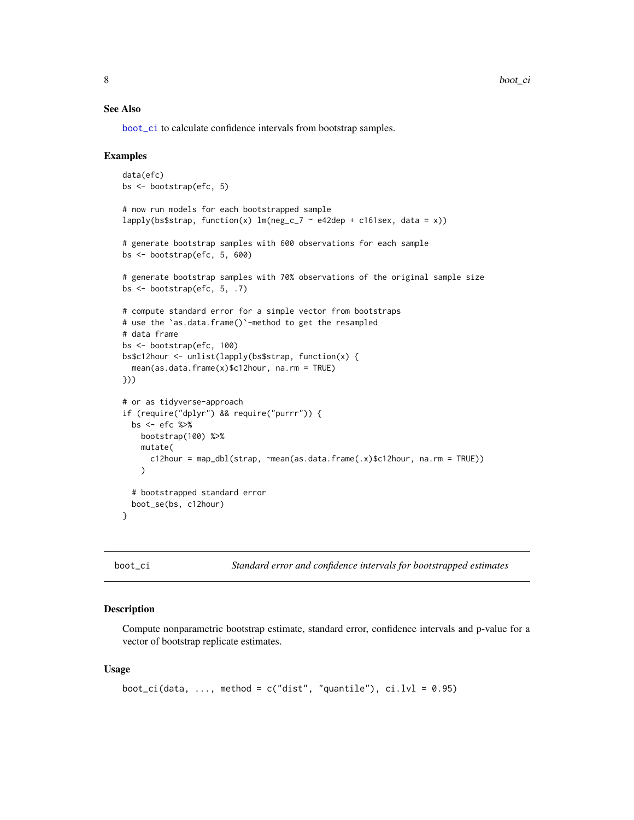#### <span id="page-7-0"></span>See Also

[boot\\_ci](#page-7-1) to calculate confidence intervals from bootstrap samples.

#### Examples

```
data(efc)
bs <- bootstrap(efc, 5)
# now run models for each bootstrapped sample
lapply(bs$strap, function(x) lm(neg_c^7 \sim e42dep + c161sex, data = x))# generate bootstrap samples with 600 observations for each sample
bs <- bootstrap(efc, 5, 600)
# generate bootstrap samples with 70% observations of the original sample size
bs <- bootstrap(efc, 5, .7)
# compute standard error for a simple vector from bootstraps
# use the `as.data.frame()`-method to get the resampled
# data frame
bs <- bootstrap(efc, 100)
bs$c12hour <- unlist(lapply(bs$strap, function(x) {
  mean(as.data.frame(x)$c12hour, na.rm = TRUE)
}))
# or as tidyverse-approach
if (require("dplyr") && require("purrr")) {
  bs <- efc %>%
   bootstrap(100) %>%
   mutate(
      c12hour = map_dbl(strap, ~mean(as.data.frame(.x)$c12hour, na.rm = TRUE))
    )
  # bootstrapped standard error
  boot_se(bs, c12hour)
}
```
<span id="page-7-1"></span>boot\_ci *Standard error and confidence intervals for bootstrapped estimates*

#### Description

Compute nonparametric bootstrap estimate, standard error, confidence intervals and p-value for a vector of bootstrap replicate estimates.

#### Usage

```
boot_ci(data, ..., method = c("dist", "quantile"), ci.lvl = 0.95)
```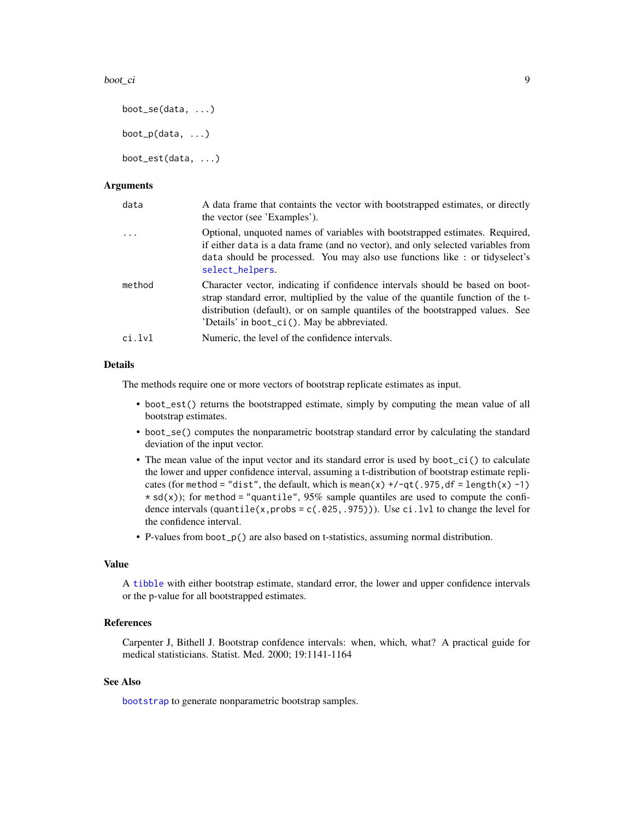#### <span id="page-8-0"></span>boot\_ci 9

```
boot_se(data, ...)
boot_p(data, \ldots)boot_est(data, ...)
```
#### Arguments

| data       | A data frame that containts the vector with bootstrapped estimates, or directly<br>the vector (see 'Examples').                                                                                                                                                                                    |
|------------|----------------------------------------------------------------------------------------------------------------------------------------------------------------------------------------------------------------------------------------------------------------------------------------------------|
| $\ddots$ . | Optional, unquoted names of variables with bootstrapped estimates. Required,<br>if either data is a data frame (and no vector), and only selected variables from<br>data should be processed. You may also use functions like : or tidyselect's<br>select_helpers.                                 |
| method     | Character vector, indicating if confidence intervals should be based on boot-<br>strap standard error, multiplied by the value of the quantile function of the t-<br>distribution (default), or on sample quantiles of the bootstrapped values. See<br>'Details' in boot_ci(). May be abbreviated. |
| ci.lvl     | Numeric, the level of the confidence intervals.                                                                                                                                                                                                                                                    |

#### Details

The methods require one or more vectors of bootstrap replicate estimates as input.

- boot\_est() returns the bootstrapped estimate, simply by computing the mean value of all bootstrap estimates.
- boot\_se() computes the nonparametric bootstrap standard error by calculating the standard deviation of the input vector.
- The mean value of the input vector and its standard error is used by boot\_ci() to calculate the lower and upper confidence interval, assuming a t-distribution of bootstrap estimate replicates (for method = "dist", the default, which is mean(x) +/-qt(.975,df = length(x) -1)  $\star$  sd(x)); for method = "quantile", 95% sample quantiles are used to compute the confidence intervals (quantile(x, probs =  $c(.025, .975)$ )). Use ci.lvl to change the level for the confidence interval.
- P-values from boot\_p() are also based on t-statistics, assuming normal distribution.

#### Value

A [tibble](#page-0-0) with either bootstrap estimate, standard error, the lower and upper confidence intervals or the p-value for all bootstrapped estimates.

#### References

Carpenter J, Bithell J. Bootstrap confdence intervals: when, which, what? A practical guide for medical statisticians. Statist. Med. 2000; 19:1141-1164

#### See Also

[bootstrap](#page-6-1) to generate nonparametric bootstrap samples.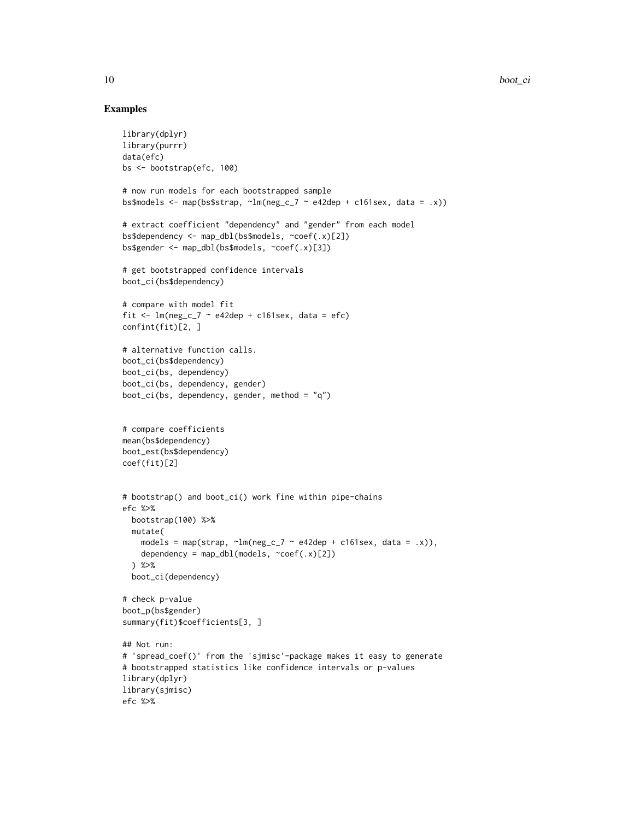```
library(dplyr)
library(purrr)
data(efc)
bs <- bootstrap(efc, 100)
# now run models for each bootstrapped sample
bs$models <- map(bs$strap, \text{Im(neg_c27} \sim \text{e42dep} + \text{c161sex}, \text{data} = .x))
# extract coefficient "dependency" and "gender" from each model
bs$dependency <- map_dbl(bs$models, ~coef(.x)[2])
bs$gender <- map_dbl(bs$models, ~coef(.x)[3])
# get bootstrapped confidence intervals
boot_ci(bs$dependency)
# compare with model fit
fit \leq lm(neg_c_7 \sim e42dep + c161sex, data = efc)
confint(fit)[2, ]
# alternative function calls.
boot_ci(bs$dependency)
boot_ci(bs, dependency)
boot_ci(bs, dependency, gender)
boot_ci(bs, dependency, gender, method = "q")
# compare coefficients
mean(bs$dependency)
boot_est(bs$dependency)
coef(fit)[2]
# bootstrap() and boot_ci() work fine within pipe-chains
efc %>%
  bootstrap(100) %>%
  mutate(
    models = map(strap, \text{~m(neg_c27 \sim e42dep + c161sex, data = .x)}),
    dependency = map_dbl(models, \simcoef(.x)[2])
  ) %>%
  boot_ci(dependency)
# check p-value
boot_p(bs$gender)
summary(fit)$coefficients[3, ]
## Not run:
# 'spread_coef()' from the 'sjmisc'-package makes it easy to generate
# bootstrapped statistics like confidence intervals or p-values
library(dplyr)
library(sjmisc)
efc %>%
```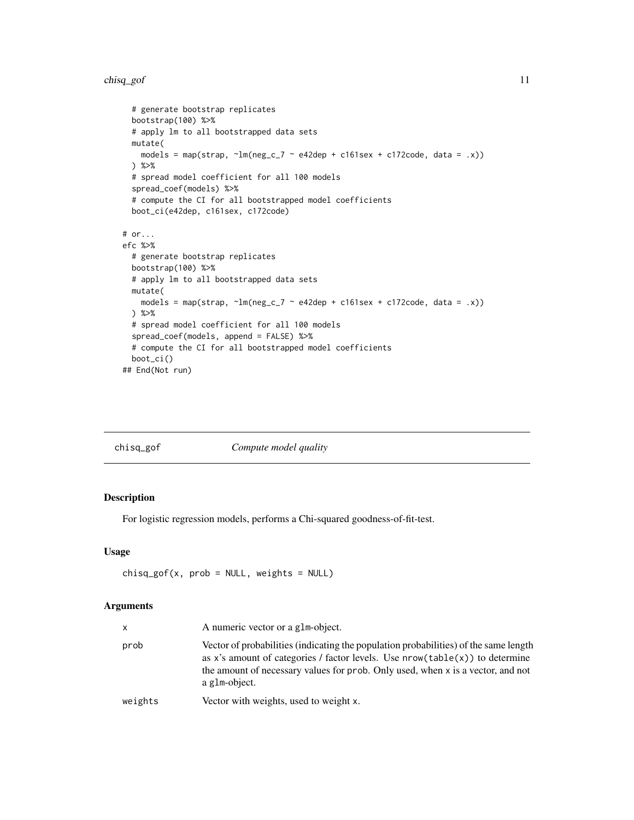#### <span id="page-10-0"></span>chisq\_gof 11

```
# generate bootstrap replicates
  bootstrap(100) %>%
  # apply lm to all bootstrapped data sets
  mutate(
    models = map(strap, \text{Im(neg_c2} \sim \text{e42dep + c161sex + c172code, data = .x)})) %>%
  # spread model coefficient for all 100 models
  spread_coef(models) %>%
  # compute the CI for all bootstrapped model coefficients
  boot_ci(e42dep, c161sex, c172code)
# or...
efc %>%
  # generate bootstrap replicates
  bootstrap(100) %>%
  # apply lm to all bootstrapped data sets
  mutate(
    models = map(strap, \text{Im}(\text{neg}_c \cdot 7 \sim \text{e42dep} + \text{c161sex} + \text{c172code}, \text{data} = .x))) %>%
  # spread model coefficient for all 100 models
  spread_coef(models, append = FALSE) %>%
  # compute the CI for all bootstrapped model coefficients
  boot_ci()
## End(Not run)
```

| chisq_gof | Compute model quality |  |
|-----------|-----------------------|--|
|-----------|-----------------------|--|

#### Description

For logistic regression models, performs a Chi-squared goodness-of-fit-test.

#### Usage

```
chisq_gof(x, prob = NULL, weights = NULL)
```
#### Arguments

| X       | A numeric vector or a glm-object.                                                                                                                                                                                                                                          |
|---------|----------------------------------------------------------------------------------------------------------------------------------------------------------------------------------------------------------------------------------------------------------------------------|
| prob    | Vector of probabilities (indicating the population probabilities) of the same length<br>as x's amount of categories / factor levels. Use $nrow(table(x))$ to determine<br>the amount of necessary values for prob. Only used, when x is a vector, and not<br>a glm-object. |
| weights | Vector with weights, used to weight x.                                                                                                                                                                                                                                     |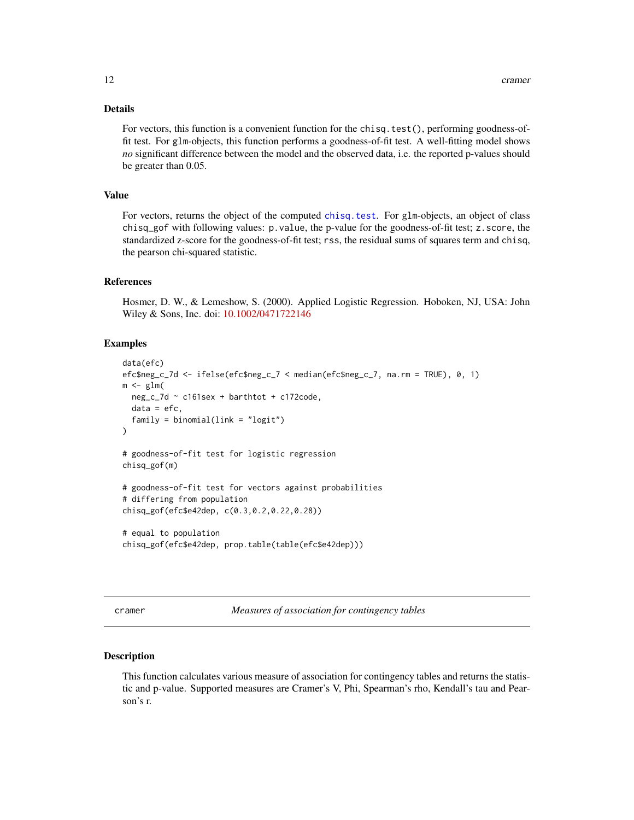#### <span id="page-11-0"></span>Details

For vectors, this function is a convenient function for the chisq.test $()$ , performing goodness-offit test. For glm-objects, this function performs a goodness-of-fit test. A well-fitting model shows *no* significant difference between the model and the observed data, i.e. the reported p-values should be greater than 0.05.

#### Value

For vectors, returns the object of the computed [chisq.test](#page-0-0). For glm-objects, an object of class chisq\_gof with following values: p.value, the p-value for the goodness-of-fit test; z.score, the standardized z-score for the goodness-of-fit test; rss, the residual sums of squares term and chisq, the pearson chi-squared statistic.

#### References

Hosmer, D. W., & Lemeshow, S. (2000). Applied Logistic Regression. Hoboken, NJ, USA: John Wiley & Sons, Inc. doi: [10.1002/0471722146](https://doi.org/10.1002/0471722146)

#### Examples

```
data(efc)
efc$neg_c_7d <- ifelse(efc$neg_c_7 < median(efc$neg_c_7, na.rm = TRUE), 0, 1)
m \leq -g \ln(neg_c_7d ~ c161sex + barthtot + c172code,
 data = efc,family = binomial(link = "logit"))
# goodness-of-fit test for logistic regression
chisq_gof(m)
# goodness-of-fit test for vectors against probabilities
# differing from population
chisq_gof(efc$e42dep, c(0.3,0.2,0.22,0.28))
# equal to population
chisq_gof(efc$e42dep, prop.table(table(efc$e42dep)))
```
cramer *Measures of association for contingency tables*

#### <span id="page-11-1"></span>Description

This function calculates various measure of association for contingency tables and returns the statistic and p-value. Supported measures are Cramer's V, Phi, Spearman's rho, Kendall's tau and Pearson's r.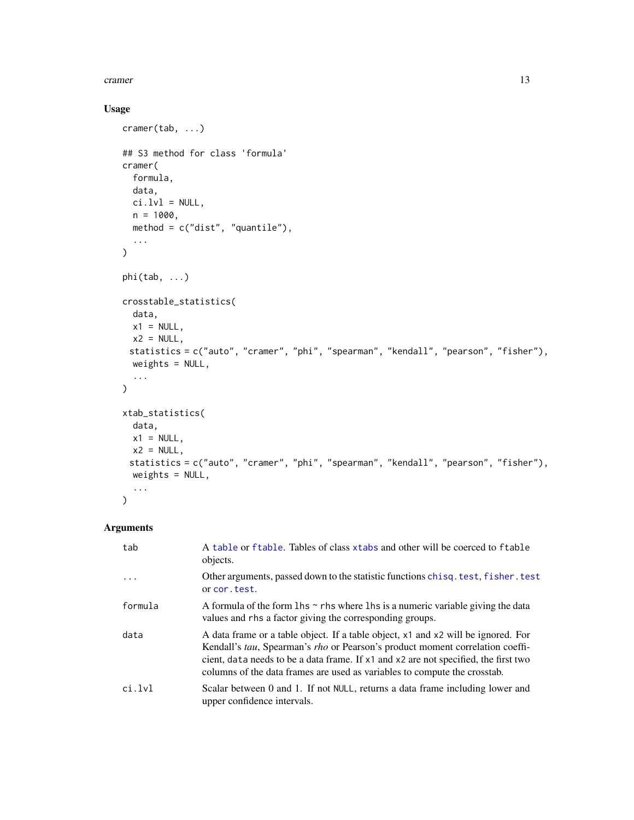#### <span id="page-12-0"></span>cramer and the contract of the contract of the contract of the contract of the contract of the contract of the contract of the contract of the contract of the contract of the contract of the contract of the contract of the

#### Usage

```
cramer(tab, ...)
## S3 method for class 'formula'
cramer(
  formula,
  data,
  ci.lvl = NULL,n = 1000,method = c("dist", "quantile"),
  ...
\mathcal{L}phi(tab, ...)
crosstable_statistics(
 data,
 x1 = NULL,x2 = NULL,statistics = c("auto", "cramer", "phi", "spearman", "kendall", "pearson", "fisher"),
  weights = NULL,
  ...
\mathcal{L}xtab_statistics(
  data,
 x1 = NULL,x2 = NULL,statistics = c("auto", "cramer", "phi", "spearman", "kendall", "pearson", "fisher"),
  weights = NULL,
  ...
)
```
#### Arguments

| tab     | A table or ftable. Tables of class xtabs and other will be coerced to ftable<br>objects.                                                                                                                                                                                                                                               |
|---------|----------------------------------------------------------------------------------------------------------------------------------------------------------------------------------------------------------------------------------------------------------------------------------------------------------------------------------------|
| .       | Other arguments, passed down to the statistic functions chisq. test, fisher. test<br>or cor. test.                                                                                                                                                                                                                                     |
| formula | A formula of the form $\ln s \sim r$ hs where $\ln s$ is a numeric variable giving the data<br>values and rhs a factor giving the corresponding groups.                                                                                                                                                                                |
| data    | A data frame or a table object. If a table object, x1 and x2 will be ignored. For<br>Kendall's tau, Spearman's rho or Pearson's product moment correlation coeffi-<br>cient, data needs to be a data frame. If x1 and x2 are not specified, the first two<br>columns of the data frames are used as variables to compute the crosstab. |
| ci.lvl  | Scalar between 0 and 1. If not NULL, returns a data frame including lower and<br>upper confidence intervals.                                                                                                                                                                                                                           |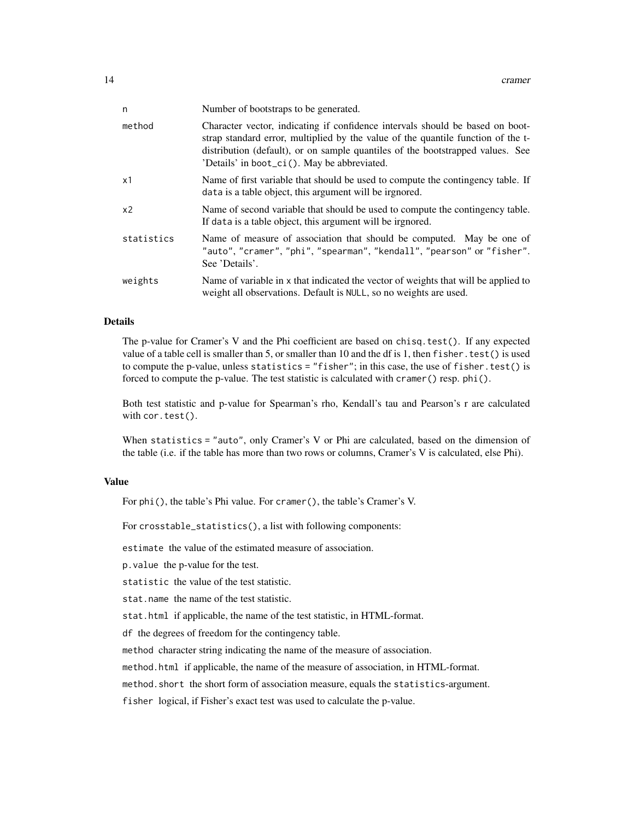| n              | Number of bootstraps to be generated.                                                                                                                                                                                                                                                              |
|----------------|----------------------------------------------------------------------------------------------------------------------------------------------------------------------------------------------------------------------------------------------------------------------------------------------------|
| method         | Character vector, indicating if confidence intervals should be based on boot-<br>strap standard error, multiplied by the value of the quantile function of the t-<br>distribution (default), or on sample quantiles of the bootstrapped values. See<br>'Details' in boot_ci(). May be abbreviated. |
| x1             | Name of first variable that should be used to compute the contingency table. If<br>data is a table object, this argument will be irgnored.                                                                                                                                                         |
| x <sub>2</sub> | Name of second variable that should be used to compute the contingency table.<br>If data is a table object, this argument will be irgnored.                                                                                                                                                        |
| statistics     | Name of measure of association that should be computed. May be one of<br>"auto", "cramer", "phi", "spearman", "kendall", "pearson" or "fisher".<br>See 'Details'.                                                                                                                                  |
| weights        | Name of variable in x that indicated the vector of weights that will be applied to<br>weight all observations. Default is NULL, so no weights are used.                                                                                                                                            |

#### Details

The p-value for Cramer's V and the Phi coefficient are based on chisq.test(). If any expected value of a table cell is smaller than 5, or smaller than 10 and the df is 1, then fisher.test() is used to compute the p-value, unless statistics = "fisher"; in this case, the use of fisher.test() is forced to compute the p-value. The test statistic is calculated with cramer() resp. phi().

Both test statistic and p-value for Spearman's rho, Kendall's tau and Pearson's r are calculated with cor.test().

When statistics = "auto", only Cramer's V or Phi are calculated, based on the dimension of the table (i.e. if the table has more than two rows or columns, Cramer's V is calculated, else Phi).

#### Value

For phi(), the table's Phi value. For cramer(), the table's Cramer's V.

For crosstable\_statistics(), a list with following components:

estimate the value of the estimated measure of association.

p.value the p-value for the test.

statistic the value of the test statistic.

stat.name the name of the test statistic.

stat.html if applicable, the name of the test statistic, in HTML-format.

df the degrees of freedom for the contingency table.

method character string indicating the name of the measure of association.

method.html if applicable, the name of the measure of association, in HTML-format.

method.short the short form of association measure, equals the statistics-argument.

fisher logical, if Fisher's exact test was used to calculate the p-value.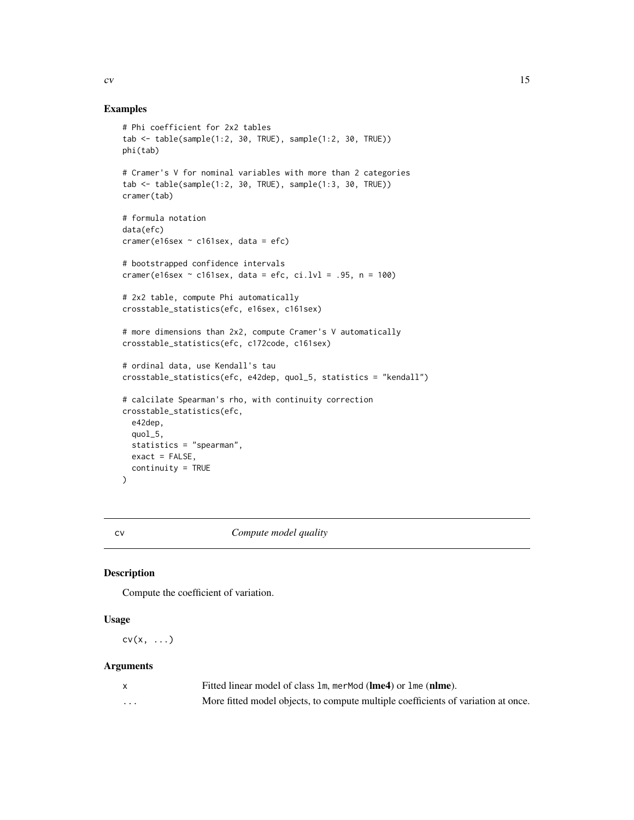#### <span id="page-14-0"></span>Examples

```
# Phi coefficient for 2x2 tables
tab <- table(sample(1:2, 30, TRUE), sample(1:2, 30, TRUE))
phi(tab)
# Cramer's V for nominal variables with more than 2 categories
tab <- table(sample(1:2, 30, TRUE), sample(1:3, 30, TRUE))
cramer(tab)
# formula notation
data(efc)
cramer(e16sex \sim c161sex, data = efc)
# bootstrapped confidence intervals
cramer(e16sex \sim c161sex, data = efc, ci.lvl = .95, n = 100)
# 2x2 table, compute Phi automatically
crosstable_statistics(efc, e16sex, c161sex)
# more dimensions than 2x2, compute Cramer's V automatically
crosstable_statistics(efc, c172code, c161sex)
# ordinal data, use Kendall's tau
crosstable_statistics(efc, e42dep, quol_5, statistics = "kendall")
# calcilate Spearman's rho, with continuity correction
crosstable_statistics(efc,
  e42dep,
  quol_5,
  statistics = "spearman",
  exact = FALSE,continuity = TRUE
\mathcal{L}
```
cv *Compute model quality*

#### Description

Compute the coefficient of variation.

#### Usage

 $cv(x, \ldots)$ 

#### Arguments

|          | Fitted linear model of class 1m, merMod (lme4) or 1me (nlme).                     |
|----------|-----------------------------------------------------------------------------------|
| $\cdots$ | More fitted model objects, to compute multiple coefficients of variation at once. |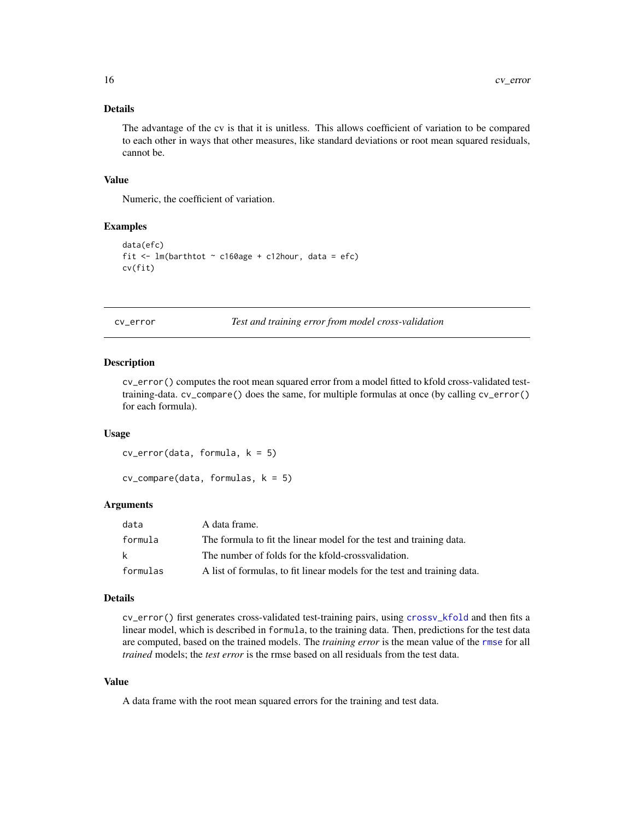#### <span id="page-15-0"></span>Details

The advantage of the cv is that it is unitless. This allows coefficient of variation to be compared to each other in ways that other measures, like standard deviations or root mean squared residuals, cannot be.

#### Value

Numeric, the coefficient of variation.

#### Examples

```
data(efc)
fit \leq lm(barthtot \sim c160age + c12hour, data = efc)
cv(fit)
```
cv\_error *Test and training error from model cross-validation*

#### Description

cv\_error() computes the root mean squared error from a model fitted to kfold cross-validated testtraining-data. cv\_compare() does the same, for multiple formulas at once (by calling cv\_error() for each formula).

#### Usage

cv\_error(data, formula, k = 5)

 $cv_{\text{compare}}(data, formulas, k = 5)$ 

#### Arguments

| data     | A data frame.                                                            |
|----------|--------------------------------------------------------------------------|
| formula  | The formula to fit the linear model for the test and training data.      |
| k        | The number of folds for the kfold-crossvalidation.                       |
| formulas | A list of formulas, to fit linear models for the test and training data. |

#### Details

cv\_error() first generates cross-validated test-training pairs, using [crossv\\_kfold](#page-0-0) and then fits a linear model, which is described in formula, to the training data. Then, predictions for the test data are computed, based on the trained models. The *training error* is the mean value of the [rmse](#page-0-0) for all *trained* models; the *test error* is the rmse based on all residuals from the test data.

#### Value

A data frame with the root mean squared errors for the training and test data.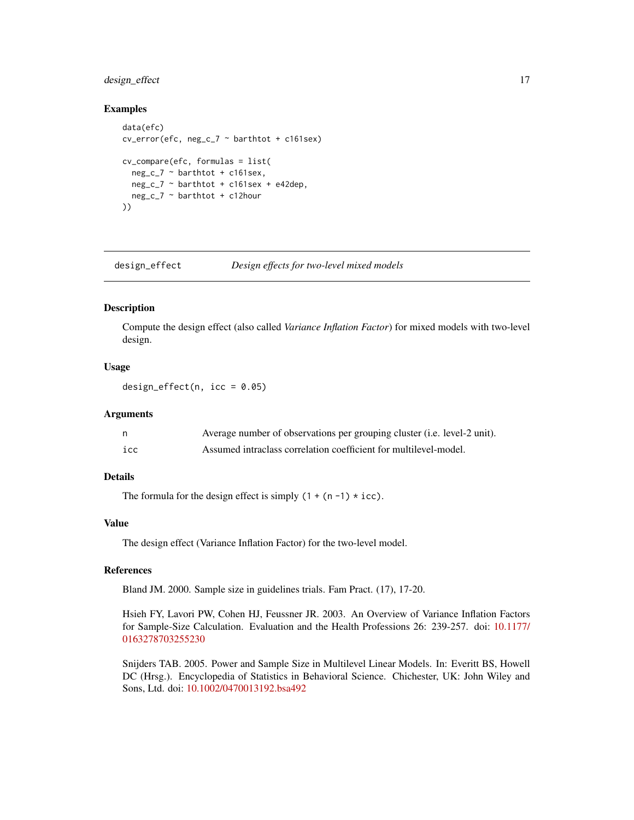#### <span id="page-16-0"></span>design\_effect 17

#### Examples

```
data(efc)
cv_error(efc, neg_c_7 ~ barthtot + c161sex)
cv_compare(efc, formulas = list(
  neg_c - barthtot + c161sex,
  neg_c_7 ~ barthtot + c161sex + e42dep,
  neg_c_7 ~ barthtot + c12hour
))
```
<span id="page-16-1"></span>design\_effect *Design effects for two-level mixed models*

#### Description

Compute the design effect (also called *Variance Inflation Factor*) for mixed models with two-level design.

#### Usage

design\_effect(n,  $icc = 0.05$ )

#### Arguments

| n.  | Average number of observations per grouping cluster (i.e. level-2 unit). |
|-----|--------------------------------------------------------------------------|
| icc | Assumed intraclass correlation coefficient for multilevel-model.         |

#### Details

The formula for the design effect is simply  $(1 + (n - 1) * icc)$ .

#### Value

The design effect (Variance Inflation Factor) for the two-level model.

#### References

Bland JM. 2000. Sample size in guidelines trials. Fam Pract. (17), 17-20.

Hsieh FY, Lavori PW, Cohen HJ, Feussner JR. 2003. An Overview of Variance Inflation Factors for Sample-Size Calculation. Evaluation and the Health Professions 26: 239-257. doi: [10.1177/](https://doi.org/10.1177/0163278703255230) [0163278703255230](https://doi.org/10.1177/0163278703255230)

Snijders TAB. 2005. Power and Sample Size in Multilevel Linear Models. In: Everitt BS, Howell DC (Hrsg.). Encyclopedia of Statistics in Behavioral Science. Chichester, UK: John Wiley and Sons, Ltd. doi: [10.1002/0470013192.bsa492](https://doi.org/10.1002/0470013192.bsa492)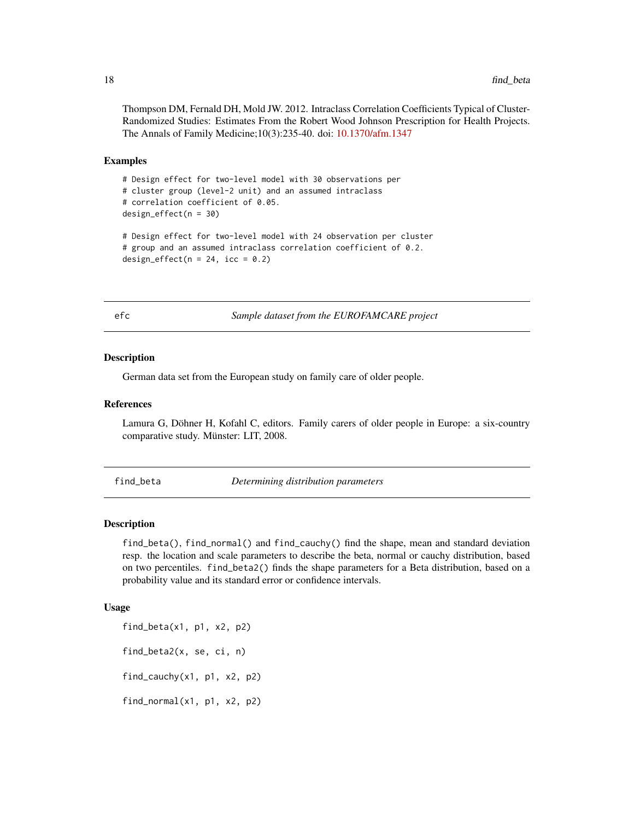<span id="page-17-0"></span>Thompson DM, Fernald DH, Mold JW. 2012. Intraclass Correlation Coefficients Typical of Cluster-Randomized Studies: Estimates From the Robert Wood Johnson Prescription for Health Projects. The Annals of Family Medicine;10(3):235-40. doi: [10.1370/afm.1347](https://doi.org/10.1370/afm.1347)

#### Examples

```
# Design effect for two-level model with 30 observations per
# cluster group (level-2 unit) and an assumed intraclass
# correlation coefficient of 0.05.
design_effect(n = 30)
# Design effect for two-level model with 24 observation per cluster
# group and an assumed intraclass correlation coefficient of 0.2.
design_effect(n = 24, icc = 0.2)
```
efc *Sample dataset from the EUROFAMCARE project*

#### **Description**

German data set from the European study on family care of older people.

#### References

Lamura G, Döhner H, Kofahl C, editors. Family carers of older people in Europe: a six-country comparative study. Münster: LIT, 2008.

find\_beta *Determining distribution parameters*

#### Description

find\_beta(), find\_normal() and find\_cauchy() find the shape, mean and standard deviation resp. the location and scale parameters to describe the beta, normal or cauchy distribution, based on two percentiles. find\_beta2() finds the shape parameters for a Beta distribution, based on a probability value and its standard error or confidence intervals.

#### Usage

find\_beta(x1, p1, x2, p2) find\_beta2(x, se, ci, n) find\_cauchy(x1, p1, x2, p2) find\_normal(x1, p1, x2, p2)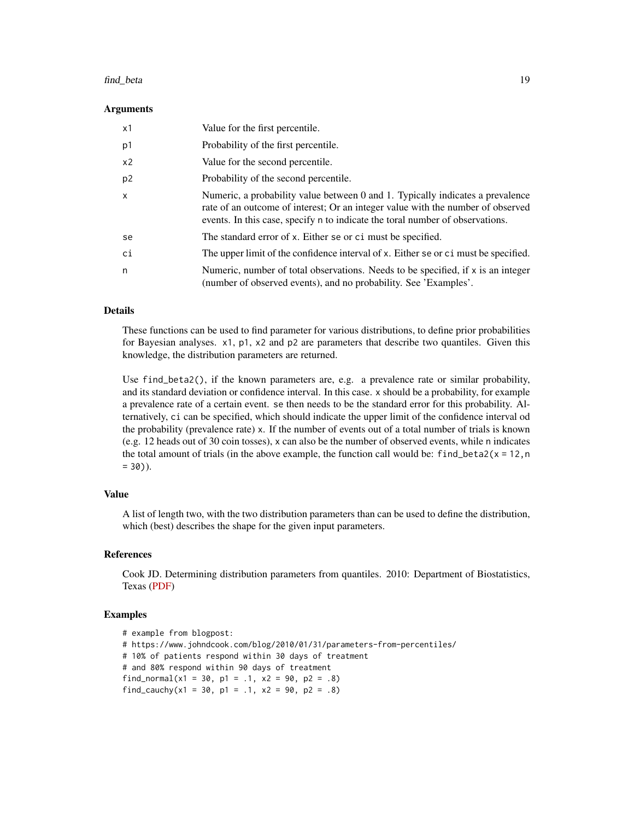#### find\_beta 19

#### Arguments

| x1             | Value for the first percentile.                                                                                                                                                                                                                    |
|----------------|----------------------------------------------------------------------------------------------------------------------------------------------------------------------------------------------------------------------------------------------------|
| p1             | Probability of the first percentile.                                                                                                                                                                                                               |
| x <sub>2</sub> | Value for the second percentile.                                                                                                                                                                                                                   |
| p <sub>2</sub> | Probability of the second percentile.                                                                                                                                                                                                              |
| $\mathsf{x}$   | Numeric, a probability value between 0 and 1. Typically indicates a prevalence<br>rate of an outcome of interest; Or an integer value with the number of observed<br>events. In this case, specify n to indicate the toral number of observations. |
| se             | The standard error of x. Either se or ci must be specified.                                                                                                                                                                                        |
| ci             | The upper limit of the confidence interval of x. Either se or c i must be specified.                                                                                                                                                               |
| n              | Numeric, number of total observations. Needs to be specified, if $x$ is an integer<br>(number of observed events), and no probability. See 'Examples'.                                                                                             |

#### Details

These functions can be used to find parameter for various distributions, to define prior probabilities for Bayesian analyses. x1, p1, x2 and p2 are parameters that describe two quantiles. Given this knowledge, the distribution parameters are returned.

Use find\_beta2(), if the known parameters are, e.g. a prevalence rate or similar probability, and its standard deviation or confidence interval. In this case. x should be a probability, for example a prevalence rate of a certain event. se then needs to be the standard error for this probability. Alternatively, ci can be specified, which should indicate the upper limit of the confidence interval od the probability (prevalence rate) x. If the number of events out of a total number of trials is known (e.g. 12 heads out of 30 coin tosses), x can also be the number of observed events, while n indicates the total amount of trials (in the above example, the function call would be:  $find_beta2(x = 12, n)$  $= 30$ ).

#### Value

A list of length two, with the two distribution parameters than can be used to define the distribution, which (best) describes the shape for the given input parameters.

#### References

Cook JD. Determining distribution parameters from quantiles. 2010: Department of Biostatistics, Texas [\(PDF\)](https://www.johndcook.com/quantiles_parameters.pdf)

```
# example from blogpost:
# https://www.johndcook.com/blog/2010/01/31/parameters-from-percentiles/
# 10% of patients respond within 30 days of treatment
# and 80% respond within 90 days of treatment
find_normal(x1 = 30, p1 = .1, x2 = 90, p2 = .8)
find_cauchy(x1 = 30, p1 = .1, x2 = 90, p2 = .8)
```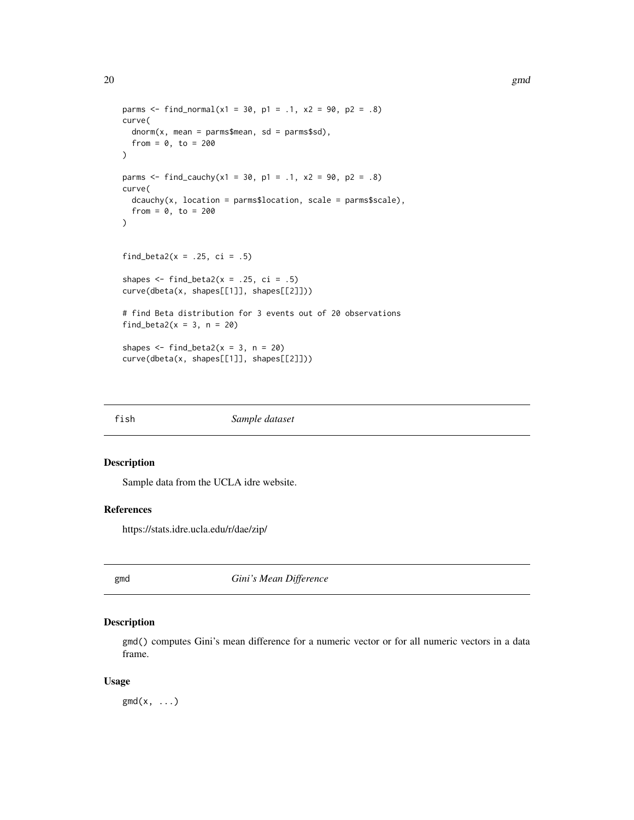```
parms \le find_normal(x1 = 30, p1 = .1, x2 = 90, p2 = .8)
curve(
  dnorm(x, mean = parms$mean, sd = parms$sd),from = 0, to = 200)
parms \le find_cauchy(x1 = 30, p1 = .1, x2 = 90, p2 = .8)
curve(
  dcauchy(x, location = parms$location, scale = parms$scale),from = 0, to = 200)
find_beta2(x = .25, ci = .5)
shapes \le find_beta2(x = .25, ci = .5)
curve(dbeta(x, shapes[[1]], shapes[[2]]))
# find Beta distribution for 3 events out of 20 observations
find_beta2(x = 3, n = 20)
shapes \le find_beta2(x = 3, n = 20)
curve(dbeta(x, shapes[[1]], shapes[[2]]))
```
fish *Sample dataset*

#### Description

Sample data from the UCLA idre website.

#### References

https://stats.idre.ucla.edu/r/dae/zip/

gmd *Gini's Mean Difference*

#### Description

gmd() computes Gini's mean difference for a numeric vector or for all numeric vectors in a data frame.

#### Usage

 $\text{gmd}(x, \ldots)$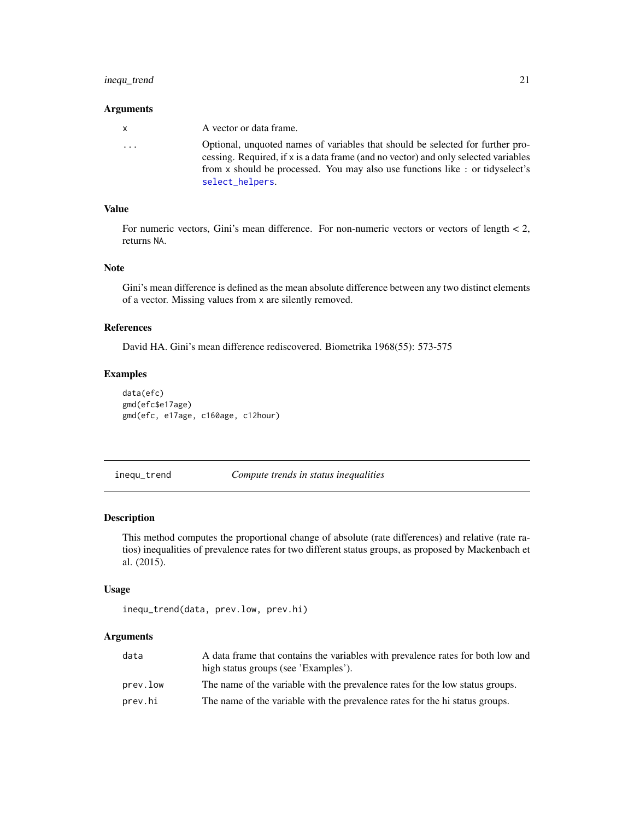#### <span id="page-20-0"></span>inequ\_trend 21

#### Arguments

| X.                      | A vector or data frame.                                                                                                                                               |
|-------------------------|-----------------------------------------------------------------------------------------------------------------------------------------------------------------------|
| $\cdot$ $\cdot$ $\cdot$ | Optional, unquoted names of variables that should be selected for further pro-<br>cessing. Required, if x is a data frame (and no vector) and only selected variables |
|                         | from x should be processed. You may also use functions like : or tidyselect's                                                                                         |
|                         | select_helpers.                                                                                                                                                       |

#### Value

For numeric vectors, Gini's mean difference. For non-numeric vectors or vectors of length < 2, returns NA.

#### Note

Gini's mean difference is defined as the mean absolute difference between any two distinct elements of a vector. Missing values from x are silently removed.

#### References

David HA. Gini's mean difference rediscovered. Biometrika 1968(55): 573-575

#### Examples

```
data(efc)
gmd(efc$e17age)
gmd(efc, e17age, c160age, c12hour)
```
inequ\_trend *Compute trends in status inequalities*

#### Description

This method computes the proportional change of absolute (rate differences) and relative (rate ratios) inequalities of prevalence rates for two different status groups, as proposed by Mackenbach et al. (2015).

#### Usage

```
inequ_trend(data, prev.low, prev.hi)
```
#### Arguments

| data     | A data frame that contains the variables with prevalence rates for both low and |
|----------|---------------------------------------------------------------------------------|
|          | high status groups (see 'Examples').                                            |
| prev.low | The name of the variable with the prevalence rates for the low status groups.   |
| prev.hi  | The name of the variable with the prevalence rates for the hi status groups.    |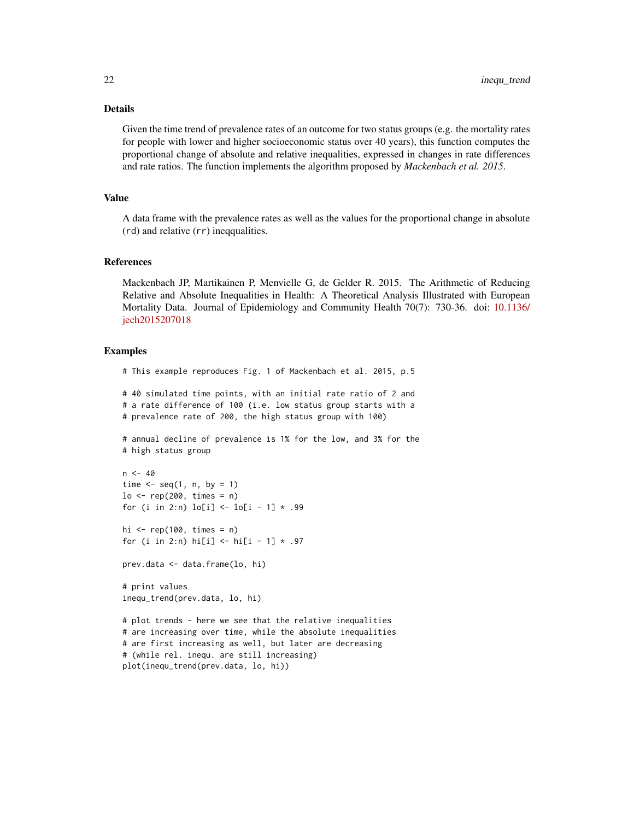#### Details

Given the time trend of prevalence rates of an outcome for two status groups (e.g. the mortality rates for people with lower and higher socioeconomic status over 40 years), this function computes the proportional change of absolute and relative inequalities, expressed in changes in rate differences and rate ratios. The function implements the algorithm proposed by *Mackenbach et al. 2015*.

#### Value

A data frame with the prevalence rates as well as the values for the proportional change in absolute (rd) and relative (rr) ineqqualities.

#### References

Mackenbach JP, Martikainen P, Menvielle G, de Gelder R. 2015. The Arithmetic of Reducing Relative and Absolute Inequalities in Health: A Theoretical Analysis Illustrated with European Mortality Data. Journal of Epidemiology and Community Health 70(7): 730-36. doi: [10.1136/](https://doi.org/10.1136/jech-2015-207018) [jech2015207018](https://doi.org/10.1136/jech-2015-207018)

#### Examples

# This example reproduces Fig. 1 of Mackenbach et al. 2015, p.5 # 40 simulated time points, with an initial rate ratio of 2 and # a rate difference of 100 (i.e. low status group starts with a # prevalence rate of 200, the high status group with 100) # annual decline of prevalence is 1% for the low, and 3% for the # high status group  $n < -40$ time  $\leq$  seq(1, n, by = 1)  $lo \le - rep(200, times = n)$ for (i in 2:n)  $lo[i] \leftarrow lo[i - 1] * .99$ hi  $\leq$  rep(100, times = n) for (i in 2:n) hi[i] <- hi[i - 1]  $*$  .97 prev.data <- data.frame(lo, hi) # print values inequ\_trend(prev.data, lo, hi) # plot trends - here we see that the relative inequalities # are increasing over time, while the absolute inequalities # are first increasing as well, but later are decreasing # (while rel. inequ. are still increasing) plot(inequ\_trend(prev.data, lo, hi))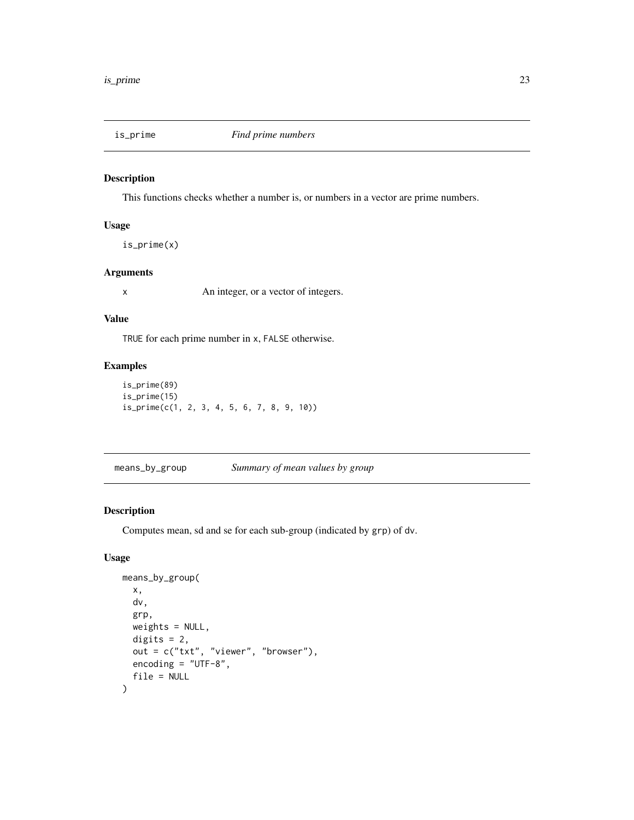<span id="page-22-0"></span>

#### Description

This functions checks whether a number is, or numbers in a vector are prime numbers.

#### Usage

is\_prime(x)

#### Arguments

x An integer, or a vector of integers.

#### Value

TRUE for each prime number in x, FALSE otherwise.

#### Examples

```
is_prime(89)
is_prime(15)
is_prime(c(1, 2, 3, 4, 5, 6, 7, 8, 9, 10))
```
means\_by\_group *Summary of mean values by group*

#### Description

Computes mean, sd and se for each sub-group (indicated by grp) of dv.

#### Usage

```
means_by_group(
  x,
  dv,
  grp,
 weights = NULL,
 digits = 2,
 out = c("txt", "viewer", "browser"),
  encoding = "UTF-8",
  file = NULL
)
```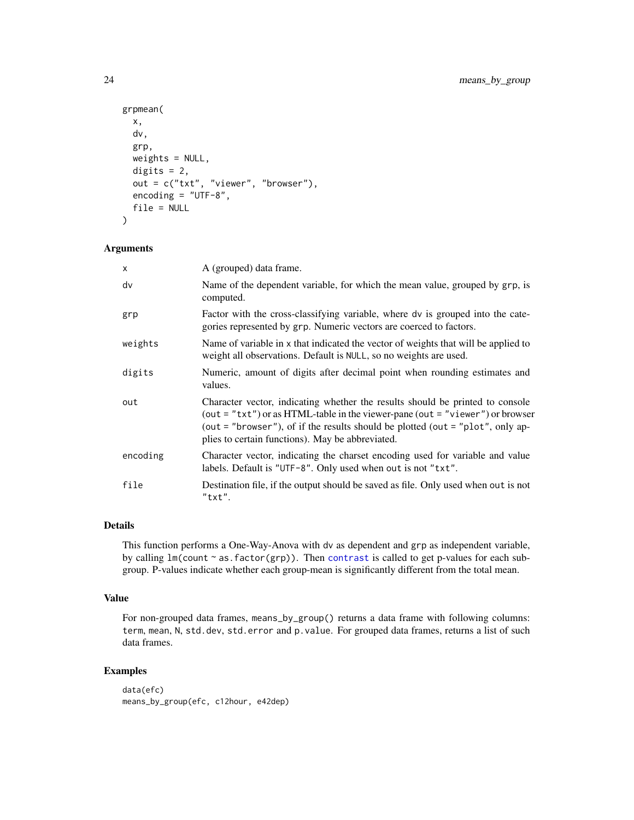```
grpmean(
 x,
 dv,
 grp,
 weights = NULL,
 digits = 2,
 out = c("txt", "viewer", "browser"),
 encoding = "UTF-8",
  file = NULL
)
```
#### Arguments

| $\times$ | A (grouped) data frame.                                                                                                                                                                                                                                                                                  |  |
|----------|----------------------------------------------------------------------------------------------------------------------------------------------------------------------------------------------------------------------------------------------------------------------------------------------------------|--|
| dv       | Name of the dependent variable, for which the mean value, grouped by grp, is<br>computed.                                                                                                                                                                                                                |  |
| grp      | Factor with the cross-classifying variable, where dv is grouped into the cate-<br>gories represented by grp. Numeric vectors are coerced to factors.                                                                                                                                                     |  |
| weights  | Name of variable in x that indicated the vector of weights that will be applied to<br>weight all observations. Default is NULL, so no weights are used.                                                                                                                                                  |  |
| digits   | Numeric, amount of digits after decimal point when rounding estimates and<br>values.                                                                                                                                                                                                                     |  |
| out      | Character vector, indicating whether the results should be printed to console<br>(out = " $txt"$ ) or as HTML-table in the viewer-pane (out = "viewer") or browser<br>(out = "browser"), of if the results should be plotted (out = "plot", only ap-<br>plies to certain functions). May be abbreviated. |  |
| encoding | Character vector, indicating the charset encoding used for variable and value<br>labels. Default is "UTF-8". Only used when out is not "txt".                                                                                                                                                            |  |
| file     | Destination file, if the output should be saved as file. Only used when out is not<br>"txt".                                                                                                                                                                                                             |  |

#### Details

This function performs a One-Way-Anova with dv as dependent and grp as independent variable, by calling  $lm$ (count ~ as.factor(grp)). Then [contrast](#page-0-0) is called to get p-values for each subgroup. P-values indicate whether each group-mean is significantly different from the total mean.

#### Value

For non-grouped data frames, means\_by\_group() returns a data frame with following columns: term, mean, N, std.dev, std.error and p.value. For grouped data frames, returns a list of such data frames.

```
data(efc)
means_by_group(efc, c12hour, e42dep)
```
<span id="page-23-0"></span>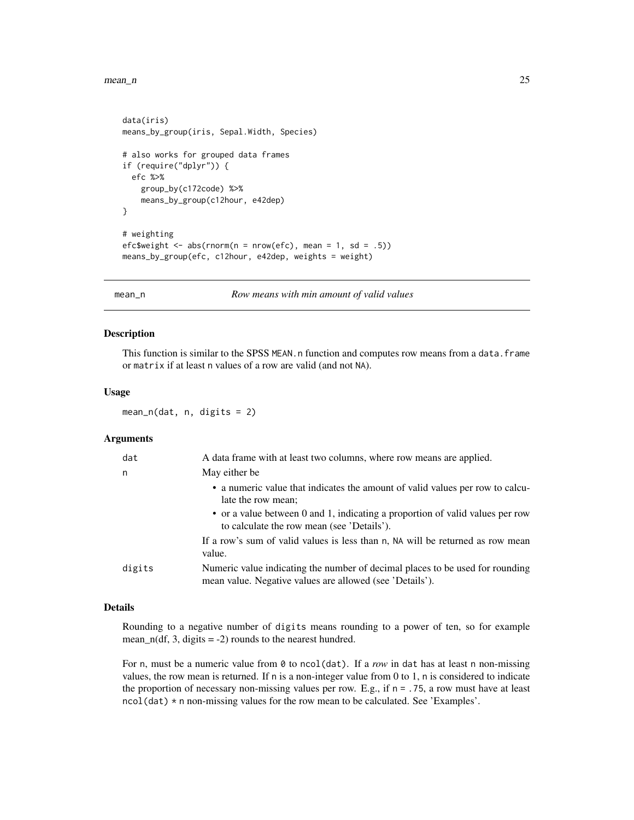#### <span id="page-24-0"></span> $mean_n$  25

```
data(iris)
means_by_group(iris, Sepal.Width, Species)
# also works for grouped data frames
if (require("dplyr")) {
  efc %>%
    group_by(c172code) %>%
    means_by_group(c12hour, e42dep)
}
# weighting
efc$weight <- abs(rnorm(n = nrow(efc), mean = 1, sd = .5))
means_by_group(efc, c12hour, e42dep, weights = weight)
```
mean\_n *Row means with min amount of valid values*

#### Description

This function is similar to the SPSS MEAN.n function and computes row means from a data.frame or matrix if at least n values of a row are valid (and not NA).

#### Usage

 $mean_n(data, n, digits = 2)$ 

#### Arguments

| dat |        | A data frame with at least two columns, where row means are applied.                                                                      |
|-----|--------|-------------------------------------------------------------------------------------------------------------------------------------------|
|     | n      | May either be                                                                                                                             |
|     |        | • a numeric value that indicates the amount of valid values per row to calcu-<br>late the row mean;                                       |
|     |        | • or a value between 0 and 1, indicating a proportion of valid values per row<br>to calculate the row mean (see 'Details').               |
|     |        | If a row's sum of valid values is less than n, NA will be returned as row mean<br>value.                                                  |
|     | digits | Numeric value indicating the number of decimal places to be used for rounding<br>mean value. Negative values are allowed (see 'Details'). |
|     |        |                                                                                                                                           |

#### Details

Rounding to a negative number of digits means rounding to a power of ten, so for example mean\_n(df, 3, digits  $= -2$ ) rounds to the nearest hundred.

For n, must be a numeric value from 0 to ncol(dat). If a *row* in dat has at least n non-missing values, the row mean is returned. If n is a non-integer value from 0 to 1, n is considered to indicate the proportion of necessary non-missing values per row. E.g., if  $n = 0.75$ , a row must have at least ncol(dat) \* n non-missing values for the row mean to be calculated. See 'Examples'.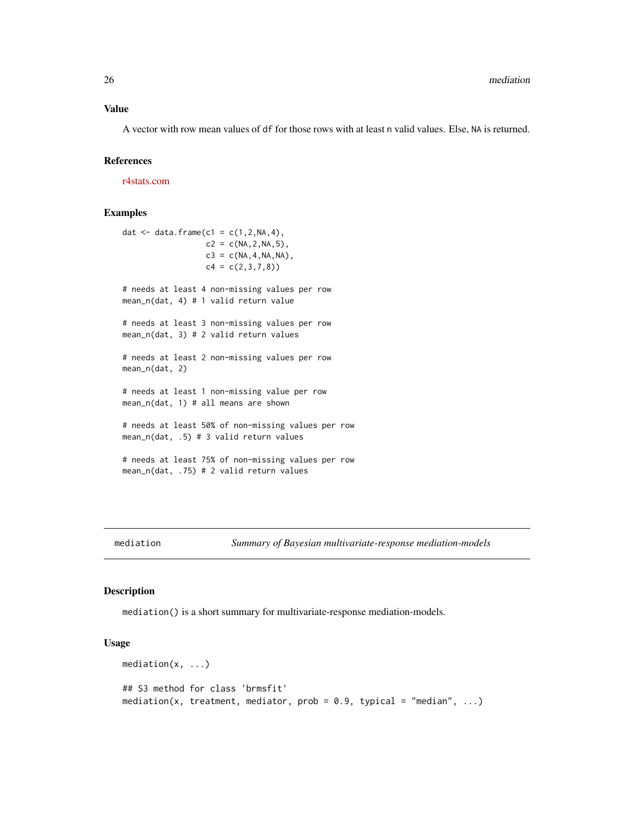#### <span id="page-25-0"></span>Value

A vector with row mean values of df for those rows with at least n valid values. Else, NA is returned.

#### References

[r4stats.com](http://r4stats.com/2014/09/03/adding-the-spss-mean-n-function-to-r/)

#### Examples

```
dat <- data.frame(c1 = c(1, 2, NA, 4),
                  c2 = c(NA, 2, NA, 5),
                  c3 = c(NA, 4, NA, NA),c4 = c(2,3,7,8)# needs at least 4 non-missing values per row
mean_n(dat, 4) # 1 valid return value
# needs at least 3 non-missing values per row
mean_n(dat, 3) # 2 valid return values
# needs at least 2 non-missing values per row
mean_n(dat, 2)
# needs at least 1 non-missing value per row
mean_n(dat, 1) # all means are shown
# needs at least 50% of non-missing values per row
mean_n(dat, .5) # 3 valid return values
# needs at least 75% of non-missing values per row
mean_n(dat, .75) # 2 valid return values
```
#### Description

mediation() is a short summary for multivariate-response mediation-models.

#### Usage

```
mediation(x, ...)
## S3 method for class 'brmsfit'
mediation(x, treatment, mediator, prob = 0.9, typical = "median", ...)
```
mediation *Summary of Bayesian multivariate-response mediation-models*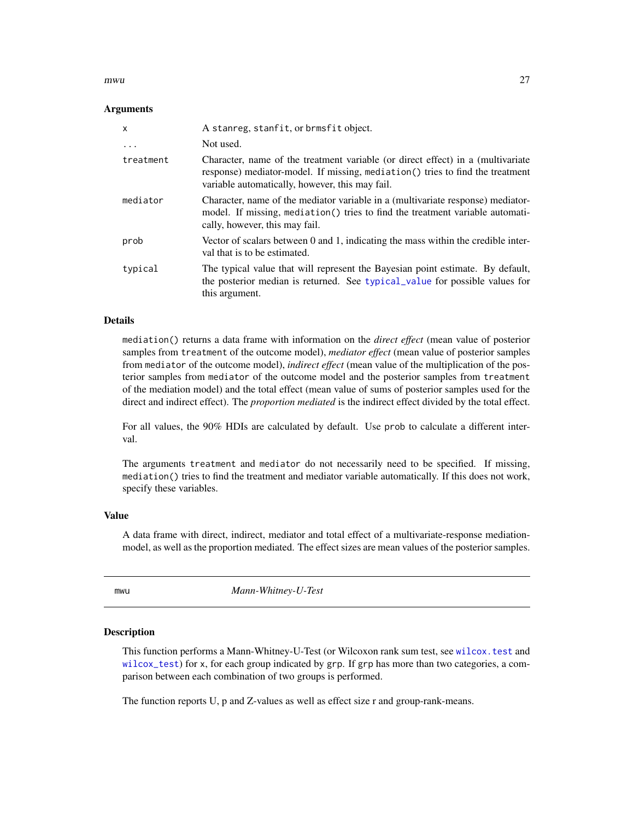#### <span id="page-26-0"></span>mwu 27

#### Arguments

| $\mathsf{x}$ | A stanreg, stanfit, or brmsfit object.                                                                                                                                                                              |
|--------------|---------------------------------------------------------------------------------------------------------------------------------------------------------------------------------------------------------------------|
| .            | Not used.                                                                                                                                                                                                           |
| treatment    | Character, name of the treatment variable (or direct effect) in a (multivariate<br>response) mediator-model. If missing, mediation() tries to find the treatment<br>variable automatically, however, this may fail. |
| mediator     | Character, name of the mediator variable in a (multivariate response) mediator-<br>model. If missing, mediation() tries to find the treatment variable automati-<br>cally, however, this may fail.                  |
| prob         | Vector of scalars between 0 and 1, indicating the mass within the credible inter-<br>val that is to be estimated.                                                                                                   |
| typical      | The typical value that will represent the Bayesian point estimate. By default,<br>the posterior median is returned. See typical_value for possible values for<br>this argument.                                     |

#### Details

mediation() returns a data frame with information on the *direct effect* (mean value of posterior samples from treatment of the outcome model), *mediator effect* (mean value of posterior samples from mediator of the outcome model), *indirect effect* (mean value of the multiplication of the posterior samples from mediator of the outcome model and the posterior samples from treatment of the mediation model) and the total effect (mean value of sums of posterior samples used for the direct and indirect effect). The *proportion mediated* is the indirect effect divided by the total effect.

For all values, the 90% HDIs are calculated by default. Use prob to calculate a different interval.

The arguments treatment and mediator do not necessarily need to be specified. If missing, mediation() tries to find the treatment and mediator variable automatically. If this does not work, specify these variables.

#### Value

A data frame with direct, indirect, mediator and total effect of a multivariate-response mediationmodel, as well as the proportion mediated. The effect sizes are mean values of the posterior samples.

mwu *Mann-Whitney-U-Test*

#### Description

This function performs a Mann-Whitney-U-Test (or Wilcoxon rank sum test, see [wilcox.test](#page-0-0) and [wilcox\\_test](#page-0-0)) for x, for each group indicated by grp. If grp has more than two categories, a comparison between each combination of two groups is performed.

The function reports U, p and Z-values as well as effect size r and group-rank-means.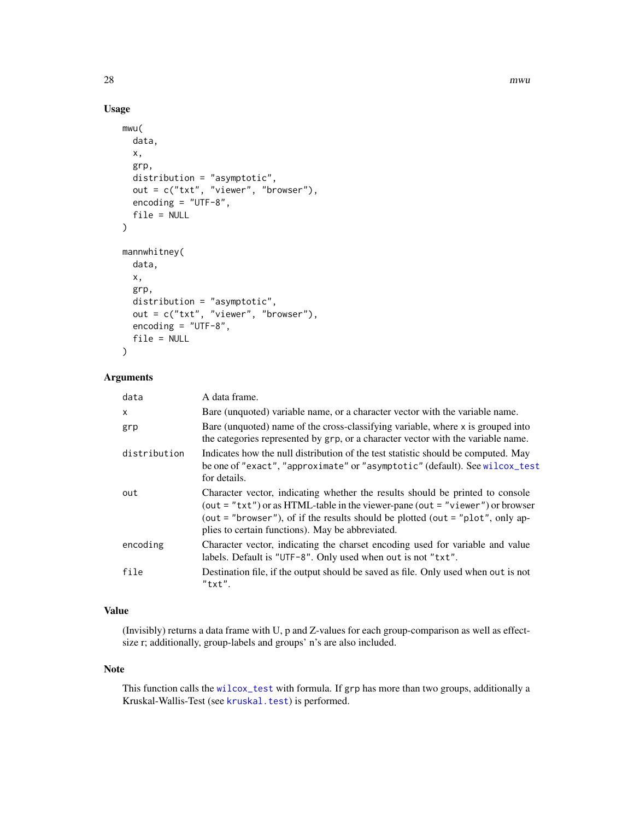#### Usage

```
mwu(
 data,
  x,
  grp,
  distribution = "asymptotic",
 out = c("txt", "viewer", "browser"),
  encoding = "UTF-8",
  file = NULL
\mathcal{L}mannwhitney(
 data,
 x,
  grp,
  distribution = "asymptotic",
 out = c("txt", "viewer", "browser"),
  encoding = "UTF-8",
  file = NULL
)
```
#### Arguments

| data         | A data frame.                                                                                                                                                                                                                                                                                        |
|--------------|------------------------------------------------------------------------------------------------------------------------------------------------------------------------------------------------------------------------------------------------------------------------------------------------------|
| $\mathsf{x}$ | Bare (unquoted) variable name, or a character vector with the variable name.                                                                                                                                                                                                                         |
| grp          | Bare (unquoted) name of the cross-classifying variable, where x is grouped into<br>the categories represented by grp, or a character vector with the variable name.                                                                                                                                  |
| distribution | Indicates how the null distribution of the test statistic should be computed. May<br>be one of "exact", "approximate" or "asymptotic" (default). See wilcox_test<br>for details.                                                                                                                     |
| out          | Character vector, indicating whether the results should be printed to console<br>(out = "txt") or as HTML-table in the viewer-pane (out = "viewer") or browser<br>(out = "browser"), of if the results should be plotted (out = "plot", only ap-<br>plies to certain functions). May be abbreviated. |
| encoding     | Character vector, indicating the charset encoding used for variable and value<br>labels. Default is "UTF-8". Only used when out is not "txt".                                                                                                                                                        |
| file         | Destination file, if the output should be saved as file. Only used when out is not<br>$"$ txt".                                                                                                                                                                                                      |

#### Value

(Invisibly) returns a data frame with U, p and Z-values for each group-comparison as well as effectsize r; additionally, group-labels and groups' n's are also included.

#### Note

This function calls the [wilcox\\_test](#page-0-0) with formula. If grp has more than two groups, additionally a Kruskal-Wallis-Test (see [kruskal.test](#page-0-0)) is performed.

<span id="page-27-0"></span>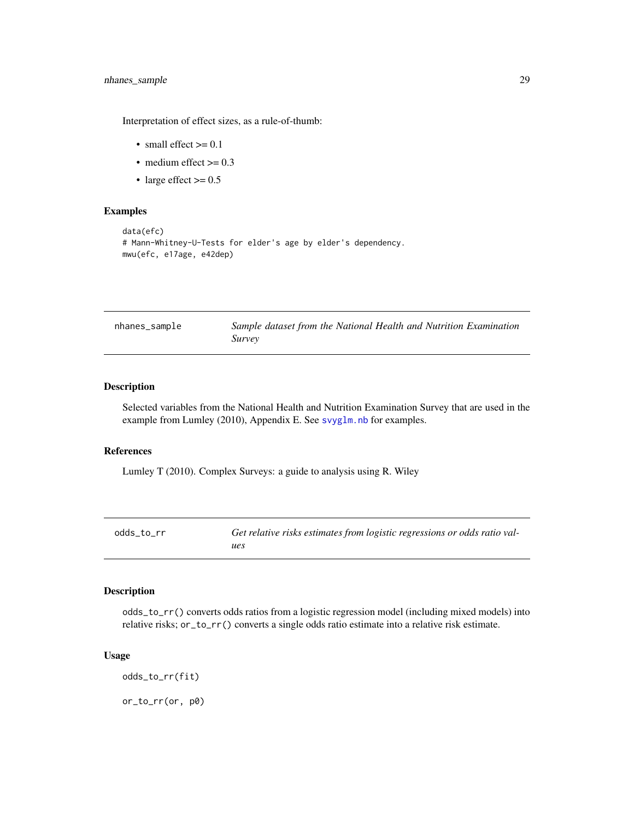#### <span id="page-28-0"></span>nhanes\_sample 29

Interpretation of effect sizes, as a rule-of-thumb:

- small effect  $>= 0.1$
- medium effect  $\geq 0.3$
- large effect  $> = 0.5$

#### Examples

```
data(efc)
# Mann-Whitney-U-Tests for elder's age by elder's dependency.
mwu(efc, e17age, e42dep)
```

| nhanes_sample | Sample dataset from the National Health and Nutrition Examination |
|---------------|-------------------------------------------------------------------|
|               | <i>Survey</i>                                                     |

#### Description

Selected variables from the National Health and Nutrition Examination Survey that are used in the example from Lumley (2010), Appendix E. See [svyglm.nb](#page-40-1) for examples.

#### References

Lumley T (2010). Complex Surveys: a guide to analysis using R. Wiley

| odds to rr | Get relative risks estimates from logistic regressions or odds ratio val- |
|------------|---------------------------------------------------------------------------|
|            | ues                                                                       |

#### Description

odds\_to\_rr() converts odds ratios from a logistic regression model (including mixed models) into relative risks; or\_to\_rr() converts a single odds ratio estimate into a relative risk estimate.

#### Usage

odds\_to\_rr(fit)

or\_to\_rr(or, p0)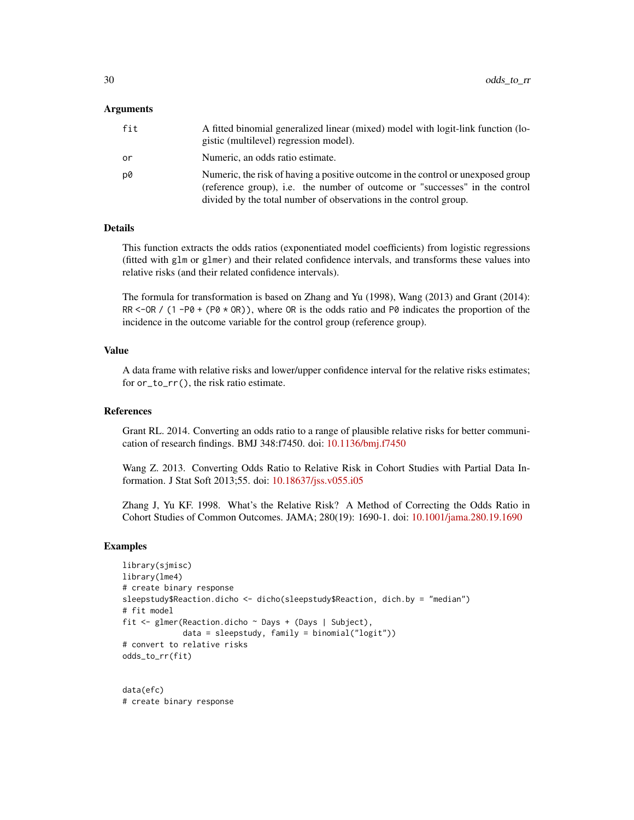#### Arguments

| fit | A fitted binomial generalized linear (mixed) model with logit-link function (lo-<br>gistic (multilevel) regression model).                                                                                                           |
|-----|--------------------------------------------------------------------------------------------------------------------------------------------------------------------------------------------------------------------------------------|
| ٥r  | Numeric, an odds ratio estimate.                                                                                                                                                                                                     |
| D0  | Numeric, the risk of having a positive outcome in the control or unexposed group<br>(reference group), i.e. the number of outcome or "successes" in the control<br>divided by the total number of observations in the control group. |

#### Details

This function extracts the odds ratios (exponentiated model coefficients) from logistic regressions (fitted with glm or glmer) and their related confidence intervals, and transforms these values into relative risks (and their related confidence intervals).

The formula for transformation is based on Zhang and Yu (1998), Wang (2013) and Grant (2014): RR <-OR /  $(1 - PØ + (PØ \times OR))$ , where OR is the odds ratio and PØ indicates the proportion of the incidence in the outcome variable for the control group (reference group).

#### Value

A data frame with relative risks and lower/upper confidence interval for the relative risks estimates; for or\_to\_rr(), the risk ratio estimate.

#### References

Grant RL. 2014. Converting an odds ratio to a range of plausible relative risks for better communication of research findings. BMJ 348:f7450. doi: [10.1136/bmj.f7450](https://doi.org/10.1136/bmj.f7450)

Wang Z. 2013. Converting Odds Ratio to Relative Risk in Cohort Studies with Partial Data Information. J Stat Soft 2013;55. doi: [10.18637/jss.v055.i05](https://doi.org/10.18637/jss.v055.i05)

Zhang J, Yu KF. 1998. What's the Relative Risk? A Method of Correcting the Odds Ratio in Cohort Studies of Common Outcomes. JAMA; 280(19): 1690-1. doi: [10.1001/jama.280.19.1690](https://doi.org/10.1001/jama.280.19.1690)

#### Examples

```
library(sjmisc)
library(lme4)
# create binary response
sleepstudy$Reaction.dicho <- dicho(sleepstudy$Reaction, dich.by = "median")
# fit model
fit <- glmer(Reaction.dicho ~ Days + (Days | Subject),
            data = sleepstudy, family = binomial("logit"))
# convert to relative risks
odds_to_rr(fit)
```
data(efc) # create binary response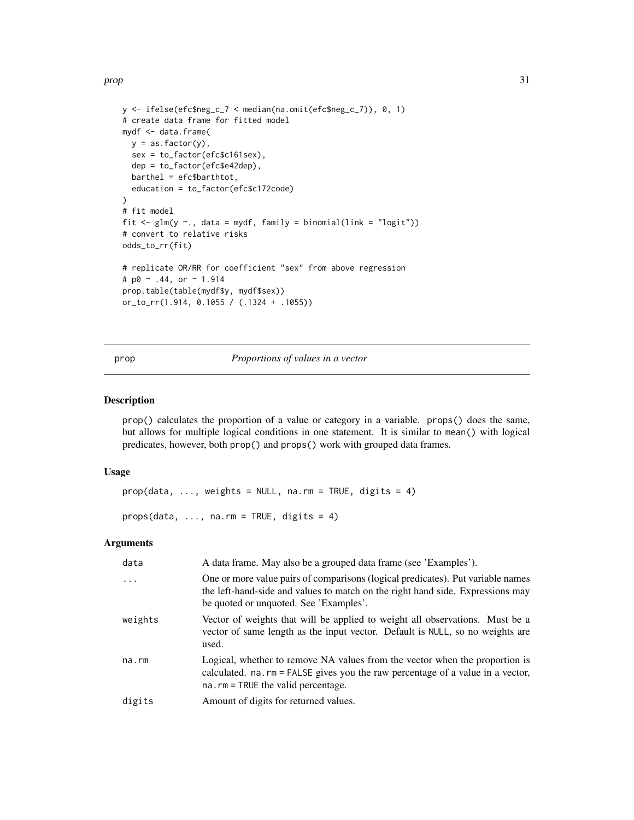<span id="page-30-0"></span>prop 31

```
y <- ifelse(efc$neg_c_7 < median(na.omit(efc$neg_c_7)), 0, 1)
# create data frame for fitted model
mydf <- data.frame(
 y = as.factor(y),
 sex = to_factor(efc$c161sex),
  dep = to_factor(efc$e42dep),
  barthel = efc$barthtot,
  education = to_factor(efc$c172code)
\lambda# fit model
fit \leq glm(y \sim., data = mydf, family = binomial(link = "logit"))
# convert to relative risks
odds_to_rr(fit)
# replicate OR/RR for coefficient "sex" from above regression
# p0 ~ .44, or ~ 1.914
prop.table(table(mydf$y, mydf$sex))
or_to_rr(1.914, 0.1055 / (.1324 + .1055))
```
#### prop *Proportions of values in a vector*

#### Description

prop() calculates the proportion of a value or category in a variable. props() does the same, but allows for multiple logical conditions in one statement. It is similar to mean() with logical predicates, however, both prop() and props() work with grouped data frames.

#### Usage

```
prop(data, ..., weights = NULL, na.rm = TRUE, digits = 4)props(data, ..., na.rm = TRUE, digits = 4)
```
#### Arguments

| data    | A data frame. May also be a grouped data frame (see 'Examples').                                                                                                                                            |  |
|---------|-------------------------------------------------------------------------------------------------------------------------------------------------------------------------------------------------------------|--|
| $\cdot$ | One or more value pairs of comparisons (logical predicates). Put variable names<br>the left-hand-side and values to match on the right hand side. Expressions may<br>be quoted or unquoted. See 'Examples'. |  |
| weights | Vector of weights that will be applied to weight all observations. Must be a<br>vector of same length as the input vector. Default is NULL, so no weights are<br>used.                                      |  |
| na.rm   | Logical, whether to remove NA values from the vector when the proportion is<br>calculated. na.rm = FALSE gives you the raw percentage of a value in a vector,<br>$na$ . $rm = TRUE$ the valid percentage.   |  |
| digits  | Amount of digits for returned values.                                                                                                                                                                       |  |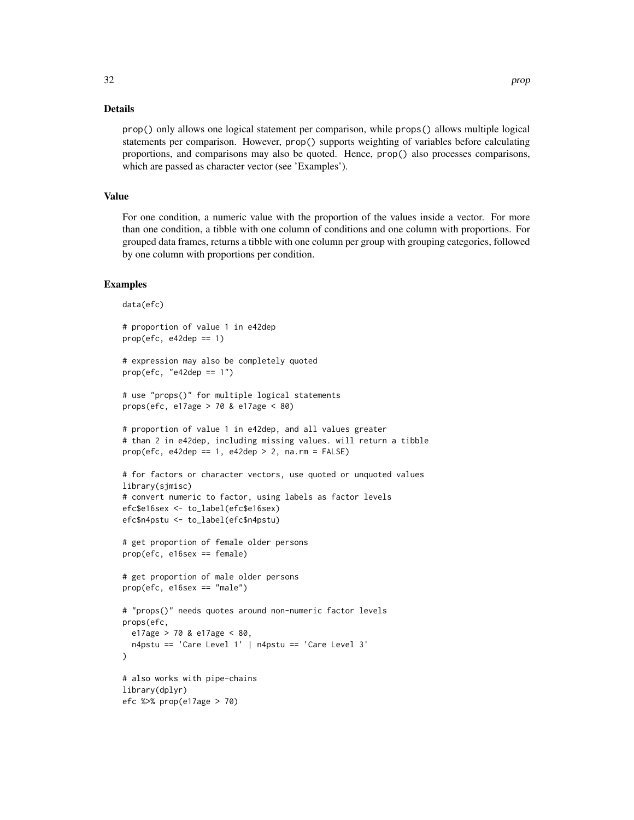#### Details

prop() only allows one logical statement per comparison, while props() allows multiple logical statements per comparison. However, prop() supports weighting of variables before calculating proportions, and comparisons may also be quoted. Hence, prop() also processes comparisons, which are passed as character vector (see 'Examples').

#### Value

For one condition, a numeric value with the proportion of the values inside a vector. For more than one condition, a tibble with one column of conditions and one column with proportions. For grouped data frames, returns a tibble with one column per group with grouping categories, followed by one column with proportions per condition.

```
data(efc)
# proportion of value 1 in e42dep
prop(efc, e42dep == 1)# expression may also be completely quoted
prop(efc, "e42dep == 1")# use "props()" for multiple logical statements
props(efc, e17age > 70 & e17age < 80)
# proportion of value 1 in e42dep, and all values greater
# than 2 in e42dep, including missing values. will return a tibble
prop(efc, e42dep == 1, e42dep > 2, na.rm = FALSE)# for factors or character vectors, use quoted or unquoted values
library(sjmisc)
# convert numeric to factor, using labels as factor levels
efc$e16sex <- to_label(efc$e16sex)
efc$n4pstu <- to_label(efc$n4pstu)
# get proportion of female older persons
prop(efc, e16sex == female)
# get proportion of male older persons
prop(efc, e16sex == "male")
# "props()" needs quotes around non-numeric factor levels
props(efc,
 e17age > 70 & e17age < 80,
 n4pstu == 'Care Level 1' | n4pstu == 'Care Level 3'
)
# also works with pipe-chains
library(dplyr)
efc %>% prop(e17age > 70)
```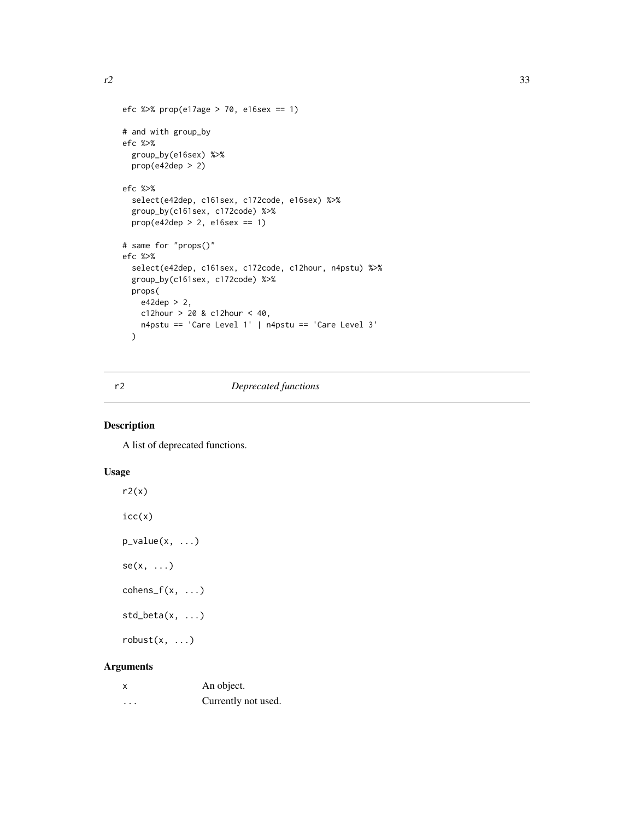```
efc %>% prop(e17age > 70, e16sex == 1)
# and with group_by
efc %>%
  group_by(e16sex) %>%
  prop(e42dep > 2)
efc %>%
  select(e42dep, c161sex, c172code, e16sex) %>%
  group_by(c161sex, c172code) %>%
  prop(e42dep > 2, e16sex == 1)
# same for "props()"
efc %>%
  select(e42dep, c161sex, c172code, c12hour, n4pstu) %>%
  group_by(c161sex, c172code) %>%
  props(
   e42dep > 2,
   c12hour > 20 & c12hour < 40,
   n4pstu == 'Care Level 1' | n4pstu == 'Care Level 3'
  \mathcal{L}
```
#### r2 *Deprecated functions*

#### Description

A list of deprecated functions.

#### Usage

```
r2(x)icc(x)p_value(x, ...)
se(x, \ldots)cohens_f(x, \ldots)std\_beta(x, \ldots)robust(x, \ldots)
```
#### Arguments

|   | An object.          |
|---|---------------------|
| . | Currently not used. |

<span id="page-32-0"></span>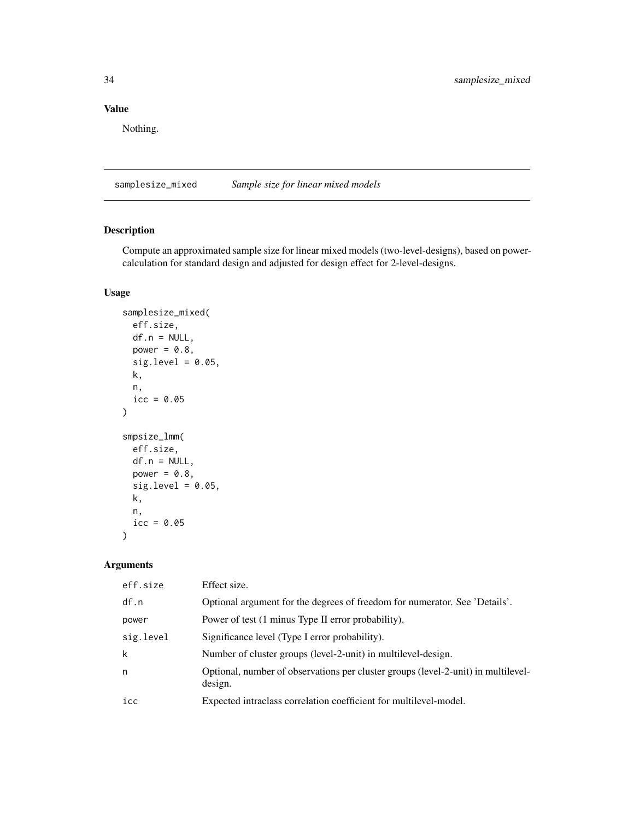#### Value

Nothing.

samplesize\_mixed *Sample size for linear mixed models*

#### Description

Compute an approximated sample size for linear mixed models (two-level-designs), based on powercalculation for standard design and adjusted for design effect for 2-level-designs.

#### Usage

```
samplesize_mixed(
 eff.size,
 df.n = NULL,power = 0.8,
  sig. level = 0.05,
 k,
 n,
 icc = 0.05\mathcal{L}smpsize_lmm(
 eff.size,
 df.n = NULL,power = 0.8,
  sig. level = 0.05,k,
 n,
  icc = 0.05\mathcal{L}
```
#### Arguments

| eff.size  | Effect size.                                                                                 |
|-----------|----------------------------------------------------------------------------------------------|
| df.n      | Optional argument for the degrees of freedom for numerator. See 'Details'.                   |
| power     | Power of test (1 minus Type II error probability).                                           |
| sig.level | Significance level (Type I error probability).                                               |
| k         | Number of cluster groups (level-2-unit) in multilevel-design.                                |
| n         | Optional, number of observations per cluster groups (level-2-unit) in multilevel-<br>design. |
| icc       | Expected intraclass correlation coefficient for multilevel-model.                            |
|           |                                                                                              |

<span id="page-33-0"></span>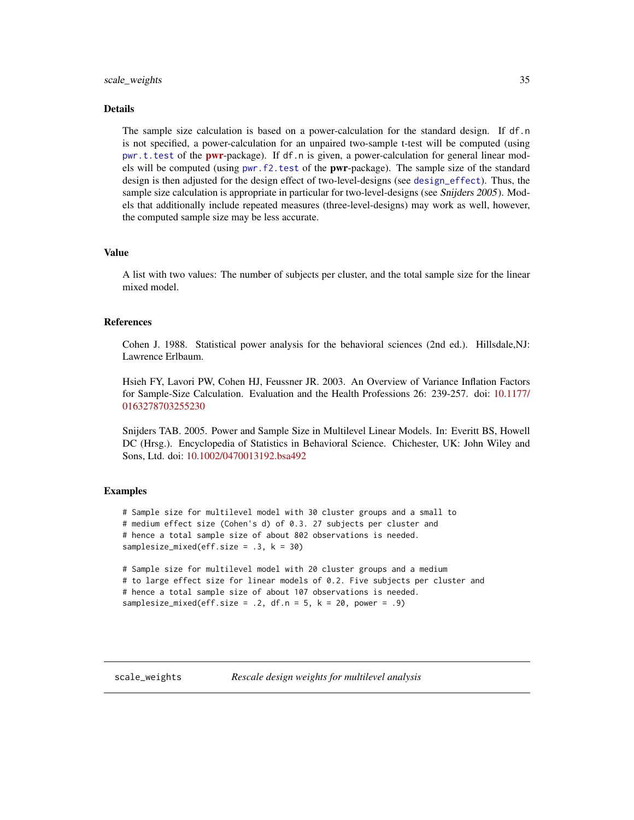#### <span id="page-34-0"></span>Details

The sample size calculation is based on a power-calculation for the standard design. If df.n is not specified, a power-calculation for an unpaired two-sample t-test will be computed (using [pwr.t.test](#page-0-0) of the **[pwr](https://CRAN.R-project.org/package=pwr)**-package). If df.n is given, a power-calculation for general linear models will be computed (using [pwr.f2.test](#page-0-0) of the pwr-package). The sample size of the standard design is then adjusted for the design effect of two-level-designs (see [design\\_effect](#page-16-1)). Thus, the sample size calculation is appropriate in particular for two-level-designs (see Snijders 2005). Models that additionally include repeated measures (three-level-designs) may work as well, however, the computed sample size may be less accurate.

#### Value

A list with two values: The number of subjects per cluster, and the total sample size for the linear mixed model.

#### References

Cohen J. 1988. Statistical power analysis for the behavioral sciences (2nd ed.). Hillsdale,NJ: Lawrence Erlbaum.

Hsieh FY, Lavori PW, Cohen HJ, Feussner JR. 2003. An Overview of Variance Inflation Factors for Sample-Size Calculation. Evaluation and the Health Professions 26: 239-257. doi: [10.1177/](https://doi.org/10.1177/0163278703255230) [0163278703255230](https://doi.org/10.1177/0163278703255230)

Snijders TAB. 2005. Power and Sample Size in Multilevel Linear Models. In: Everitt BS, Howell DC (Hrsg.). Encyclopedia of Statistics in Behavioral Science. Chichester, UK: John Wiley and Sons, Ltd. doi: [10.1002/0470013192.bsa492](https://doi.org/10.1002/0470013192.bsa492)

```
# Sample size for multilevel model with 30 cluster groups and a small to
# medium effect size (Cohen's d) of 0.3. 27 subjects per cluster and
# hence a total sample size of about 802 observations is needed.
samplesize_mixed(eff.size = .3, k = 30)
# Sample size for multilevel model with 20 cluster groups and a medium
# to large effect size for linear models of 0.2. Five subjects per cluster and
```

```
# hence a total sample size of about 107 observations is needed.
samplesize_mixed(eff.size = .2, df.n = 5, k = 20, power = .9)
```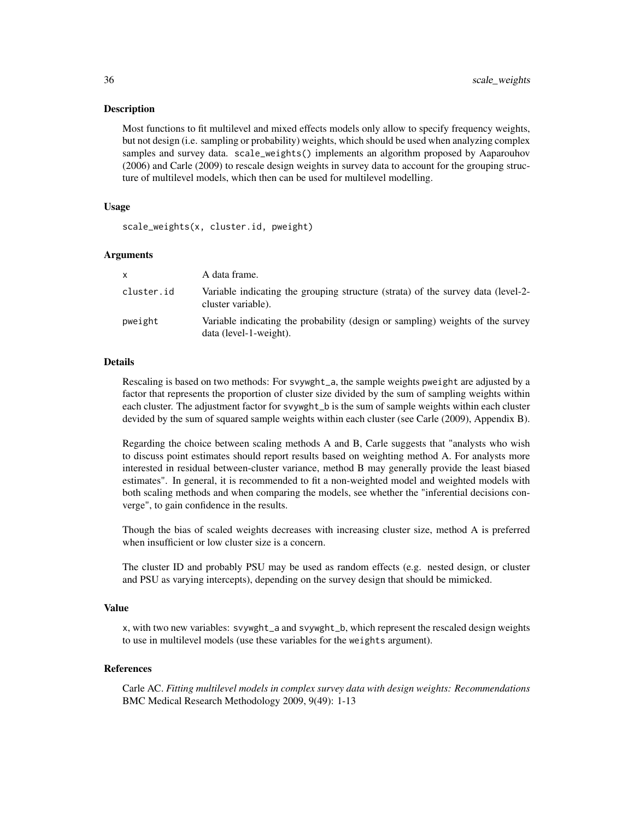#### Description

Most functions to fit multilevel and mixed effects models only allow to specify frequency weights, but not design (i.e. sampling or probability) weights, which should be used when analyzing complex samples and survey data. scale\_weights() implements an algorithm proposed by Aaparouhov (2006) and Carle (2009) to rescale design weights in survey data to account for the grouping structure of multilevel models, which then can be used for multilevel modelling.

#### Usage

scale\_weights(x, cluster.id, pweight)

#### Arguments

| x          | A data frame.                                                                                            |
|------------|----------------------------------------------------------------------------------------------------------|
| cluster.id | Variable indicating the grouping structure (strata) of the survey data (level-2-<br>cluster variable).   |
| pweight    | Variable indicating the probability (design or sampling) weights of the survey<br>data (level-1-weight). |

#### **Details**

Rescaling is based on two methods: For svywght\_a, the sample weights pweight are adjusted by a factor that represents the proportion of cluster size divided by the sum of sampling weights within each cluster. The adjustment factor for svywght\_b is the sum of sample weights within each cluster devided by the sum of squared sample weights within each cluster (see Carle (2009), Appendix B).

Regarding the choice between scaling methods A and B, Carle suggests that "analysts who wish to discuss point estimates should report results based on weighting method A. For analysts more interested in residual between-cluster variance, method B may generally provide the least biased estimates". In general, it is recommended to fit a non-weighted model and weighted models with both scaling methods and when comparing the models, see whether the "inferential decisions converge", to gain confidence in the results.

Though the bias of scaled weights decreases with increasing cluster size, method A is preferred when insufficient or low cluster size is a concern.

The cluster ID and probably PSU may be used as random effects (e.g. nested design, or cluster and PSU as varying intercepts), depending on the survey design that should be mimicked.

#### Value

x, with two new variables: svywght\_a and svywght\_b, which represent the rescaled design weights to use in multilevel models (use these variables for the weights argument).

#### References

Carle AC. *Fitting multilevel models in complex survey data with design weights: Recommendations* BMC Medical Research Methodology 2009, 9(49): 1-13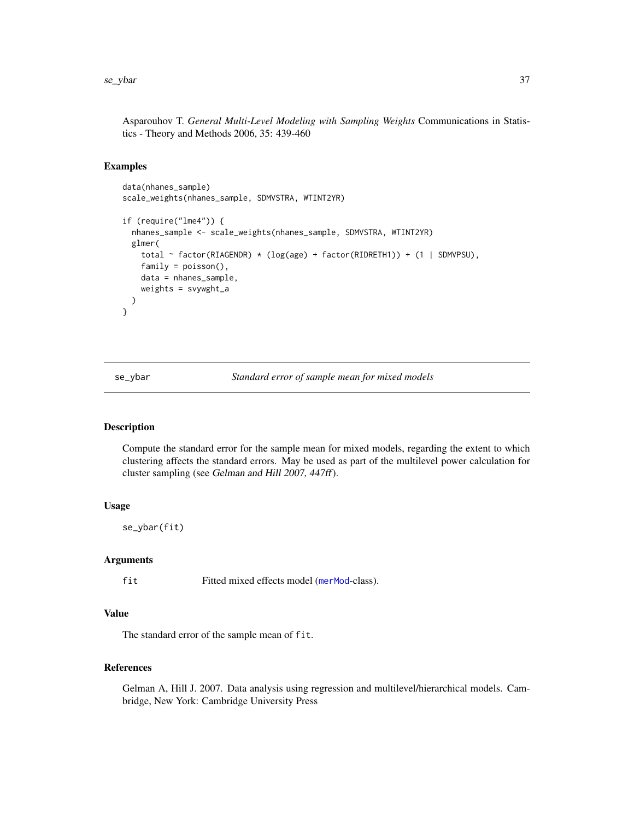<span id="page-36-0"></span>Asparouhov T. *General Multi-Level Modeling with Sampling Weights* Communications in Statistics - Theory and Methods 2006, 35: 439-460

#### Examples

```
data(nhanes_sample)
scale_weights(nhanes_sample, SDMVSTRA, WTINT2YR)
if (require("lme4")) {
 nhanes_sample <- scale_weights(nhanes_sample, SDMVSTRA, WTINT2YR)
 glmer(
   total ~ factor(RIAGENDR) * (log(age) + factor(RIDRETH1)) + (1 | SDMVPSU),
   family = poisson(),
   data = nhanes_sample,
    weights = svywght_a
 )
}
```
se\_ybar *Standard error of sample mean for mixed models*

#### Description

Compute the standard error for the sample mean for mixed models, regarding the extent to which clustering affects the standard errors. May be used as part of the multilevel power calculation for cluster sampling (see Gelman and Hill 2007, 447ff).

#### Usage

se\_ybar(fit)

#### Arguments

fit Fitted mixed effects model ([merMod](#page-0-0)-class).

#### Value

The standard error of the sample mean of fit.

#### References

Gelman A, Hill J. 2007. Data analysis using regression and multilevel/hierarchical models. Cambridge, New York: Cambridge University Press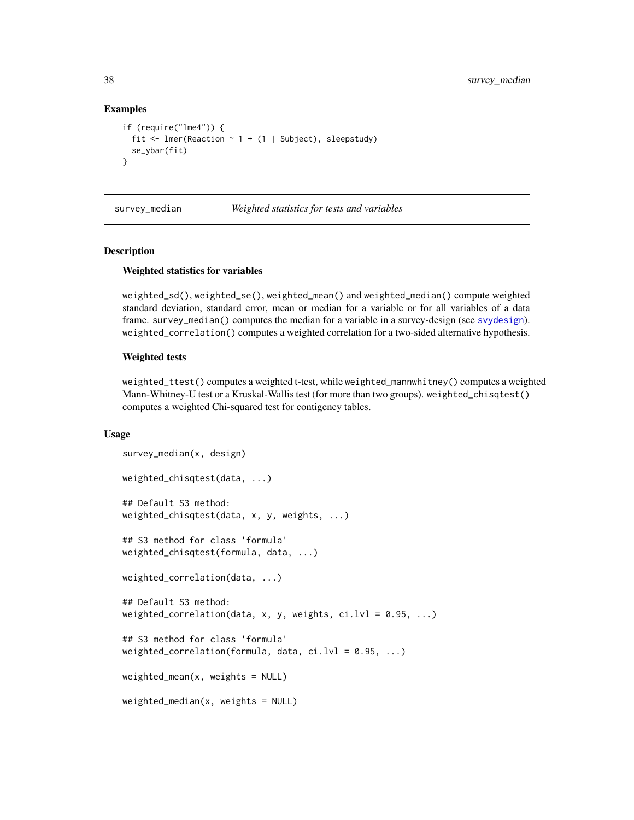#### Examples

```
if (require("lme4")) {
 fit <- lmer(Reaction \sim 1 + (1 | Subject), sleepstudy)
 se_ybar(fit)
}
```
survey\_median *Weighted statistics for tests and variables*

#### Description

#### Weighted statistics for variables

weighted\_sd(), weighted\_se(), weighted\_mean() and weighted\_median() compute weighted standard deviation, standard error, mean or median for a variable or for all variables of a data frame. survey\_median() computes the median for a variable in a survey-design (see [svydesign](#page-0-0)). weighted\_correlation() computes a weighted correlation for a two-sided alternative hypothesis.

#### Weighted tests

weighted\_ttest() computes a weighted t-test, while weighted\_mannwhitney() computes a weighted Mann-Whitney-U test or a Kruskal-Wallis test (for more than two groups). weighted\_chisqtest() computes a weighted Chi-squared test for contigency tables.

#### Usage

```
survey_median(x, design)
weighted_chisqtest(data, ...)
## Default S3 method:
weighted_chisqtest(data, x, y, weights, ...)
## S3 method for class 'formula'
weighted_chisqtest(formula, data, ...)
weighted_correlation(data, ...)
## Default S3 method:
weighted_correlation(data, x, y, weights, ci.lvl = 0.95, ...)
## S3 method for class 'formula'
weighted_correlation(formula, data, ci.lvl = 0.95, ...)
weighted_mean(x, weights = NULL)weighted_median(x, weights = NULL)
```
<span id="page-37-0"></span>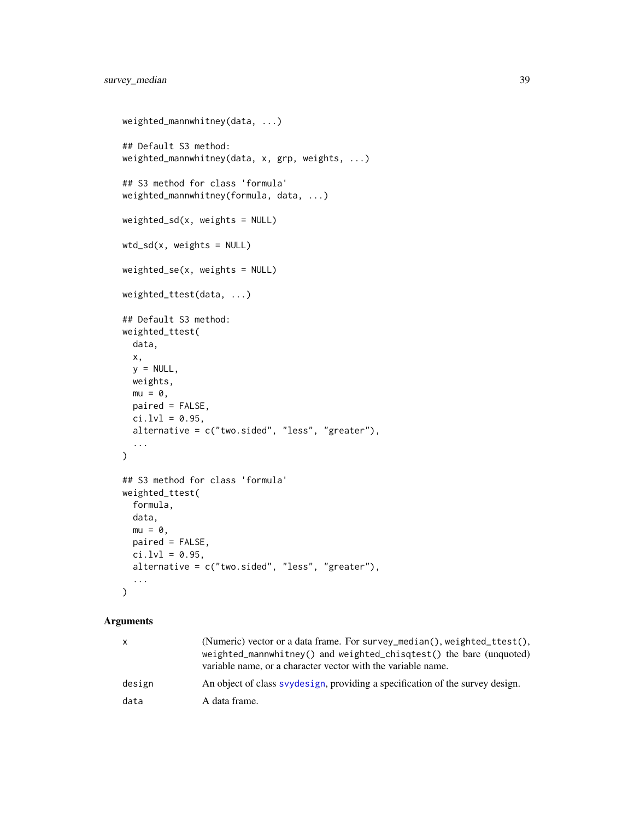```
weighted_mannwhitney(data, ...)
## Default S3 method:
weighted_mannwhitney(data, x, grp, weights, ...)
## S3 method for class 'formula'
weighted_mannwhitney(formula, data, ...)
weighted_sd(x, weights = NULL)
wtd_s weights = NULL)
weighted_se(x, weights = NULL)
weighted_ttest(data, ...)
## Default S3 method:
weighted_ttest(
  data,
 x,
 y = NULL,weights,
 mu = 0,
 paired = FALSE,
 ci.lvl = 0.95,alternative = c("two.sided", "less", "greater"),
  ...
)
## S3 method for class 'formula'
weighted_ttest(
 formula,
 data,
 mu = 0,
 paired = FALSE,
 ci.lvl = 0.95,
 alternative = c("two.sided", "less", "greater"),
  ...
\mathcal{L}
```
#### Arguments

| X      | (Numeric) vector or a data frame. For survey_median(), weighted_ttest(),<br>weighted_mannwhitney() and weighted_chisqtest() the bare (unquoted)<br>variable name, or a character vector with the variable name. |
|--------|-----------------------------------------------------------------------------------------------------------------------------------------------------------------------------------------------------------------|
| design | An object of class syydesign, providing a specification of the survey design.                                                                                                                                   |
| data   | A data frame.                                                                                                                                                                                                   |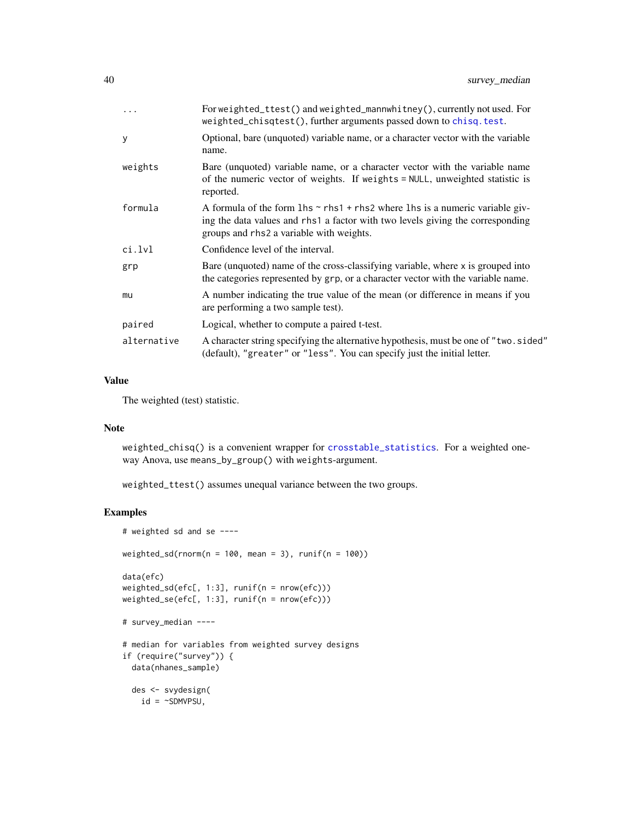<span id="page-39-0"></span>

| $\ddots$    | For weighted_ttest() and weighted_mannwhitney(), currently not used. For<br>weighted_chisqtest(), further arguments passed down to chisq.test.                                                                              |
|-------------|-----------------------------------------------------------------------------------------------------------------------------------------------------------------------------------------------------------------------------|
| У           | Optional, bare (unquoted) variable name, or a character vector with the variable<br>name.                                                                                                                                   |
| weights     | Bare (unquoted) variable name, or a character vector with the variable name<br>of the numeric vector of weights. If weights = NULL, unweighted statistic is<br>reported.                                                    |
| formula     | A formula of the form $\ln s \sim r \ln 1 + r \ln 2$ where $\ln s$ is a numeric variable giv-<br>ing the data values and rhs1 a factor with two levels giving the corresponding<br>groups and rhs2 a variable with weights. |
| ci.lvl      | Confidence level of the interval.                                                                                                                                                                                           |
| grp         | Bare (unquoted) name of the cross-classifying variable, where x is grouped into<br>the categories represented by grp, or a character vector with the variable name.                                                         |
| mu          | A number indicating the true value of the mean (or difference in means if you<br>are performing a two sample test).                                                                                                         |
| paired      | Logical, whether to compute a paired t-test.                                                                                                                                                                                |
| alternative | A character string specifying the alternative hypothesis, must be one of "two.sided"<br>(default), "greater" or "less". You can specify just the initial letter.                                                            |

#### Value

The weighted (test) statistic.

#### Note

weighted\_chisq() is a convenient wrapper for [crosstable\\_statistics](#page-11-1). For a weighted oneway Anova, use means\_by\_group() with weights-argument.

weighted\_ttest() assumes unequal variance between the two groups.

```
# weighted sd and se ----
weighted_sd(rnorm(n = 100, mean = 3), runif(n = 100))
data(efc)
weighted_sd(efc[, 1:3], runif(n = nrow(efc)))
weighted_se(efc[, 1:3], runif(n = nrow(efc)))
# survey_median ----
# median for variables from weighted survey designs
if (require("survey")) {
 data(nhanes_sample)
 des <- svydesign(
   id = \sim \text{SDMVP}SU,
```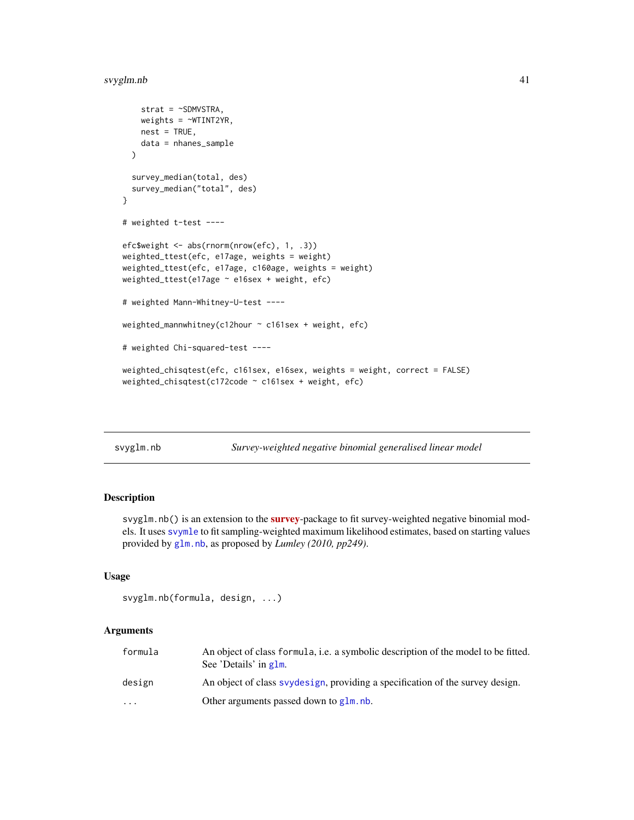#### <span id="page-40-0"></span>svyglm.nb 41

```
strat = \sim SDMVSTRA,
   weights = \simWTINT2YR,
   nest = TRUE,data = nhanes_sample
 )
 survey_median(total, des)
 survey_median("total", des)
}
# weighted t-test ----
efc$weight <- abs(rnorm(nrow(efc), 1, .3))
weighted_ttest(efc, e17age, weights = weight)
weighted_ttest(efc, e17age, c160age, weights = weight)
weighted_ttest(e17age ~ e16sex + weight, efc)
# weighted Mann-Whitney-U-test ----
weighted_mannwhitney(c12hour ~ c161sex + weight, efc)
# weighted Chi-squared-test ----
weighted_chisqtest(efc, c161sex, e16sex, weights = weight, correct = FALSE)
weighted_chisqtest(c172code ~ c161sex + weight, efc)
```
<span id="page-40-1"></span>

| svyglm.nb |  |
|-----------|--|

Survey-weighted negative binomial generalised linear model

#### Description

svyglm.nb() is an extension to the **[survey](https://CRAN.R-project.org/package=survey)**-package to fit survey-weighted negative binomial models. It uses [svymle](#page-0-0) to fit sampling-weighted maximum likelihood estimates, based on starting values provided by [glm.nb](#page-0-0), as proposed by *Lumley (2010, pp249)*.

#### Usage

```
svyglm.nb(formula, design, ...)
```
#### Arguments

| formula   | An object of class formula, i.e. a symbolic description of the model to be fitted.<br>See 'Details' in g1m. |
|-----------|-------------------------------------------------------------------------------------------------------------|
| design    | An object of class syydesign, providing a specification of the survey design.                               |
| $\ddotsc$ | Other arguments passed down to $g \ln n$ .                                                                  |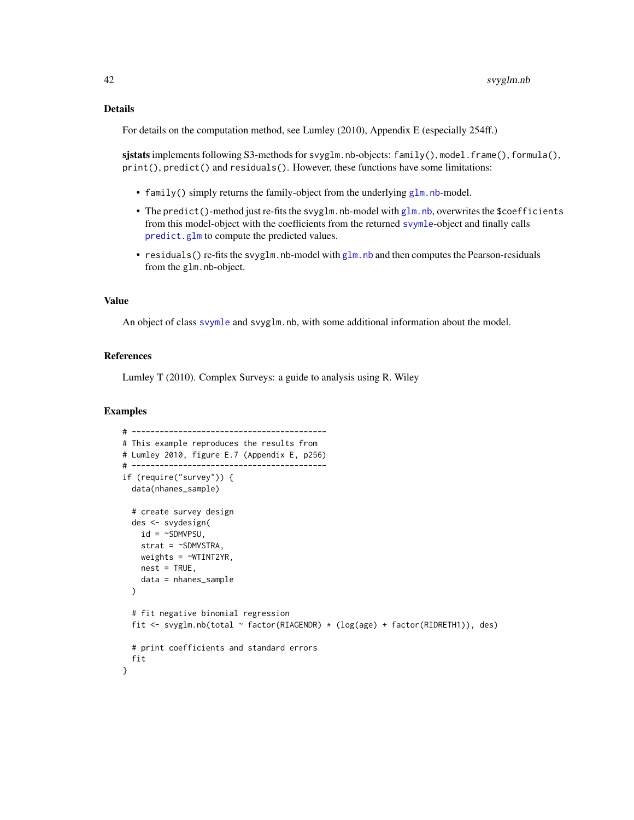#### <span id="page-41-0"></span>Details

For details on the computation method, see Lumley (2010), Appendix E (especially 254ff.)

sjstats implements following S3-methods for svyglm.nb-objects:  $family()$ , model.frame(), formula(), print(), predict() and residuals(). However, these functions have some limitations:

- family() simply returns the family-object from the underlying [glm.nb](#page-0-0)-model.
- The predict()-method just re-fits the svyglm.nb-model with [glm.nb](#page-0-0), overwrites the \$coefficients from this model-object with the coefficients from the returned [svymle](#page-0-0)-object and finally calls [predict.glm](#page-0-0) to compute the predicted values.
- residuals() re-fits the svy[glm.nb](#page-0-0)-model with glm.nb and then computes the Pearson-residuals from the glm.nb-object.

#### Value

An object of class [svymle](#page-0-0) and svyglm.nb, with some additional information about the model.

#### References

Lumley T (2010). Complex Surveys: a guide to analysis using R. Wiley

```
# ------------------------------------------
# This example reproduces the results from
# Lumley 2010, figure E.7 (Appendix E, p256)
# ------------------------------------------
if (require("survey")) {
 data(nhanes_sample)
 # create survey design
 des <- svydesign(
   id = \simSDMVPSU,
   strat = ~SDMVSTRA,
   weights = \simWTINT2YR,
   nest = TRUE,data = nhanes_sample
 )
 # fit negative binomial regression
 fit <- svyglm.nb(total ~ factor(RIAGENDR) * (log(age) + factor(RIDRETH1)), des)
 # print coefficients and standard errors
 fit
}
```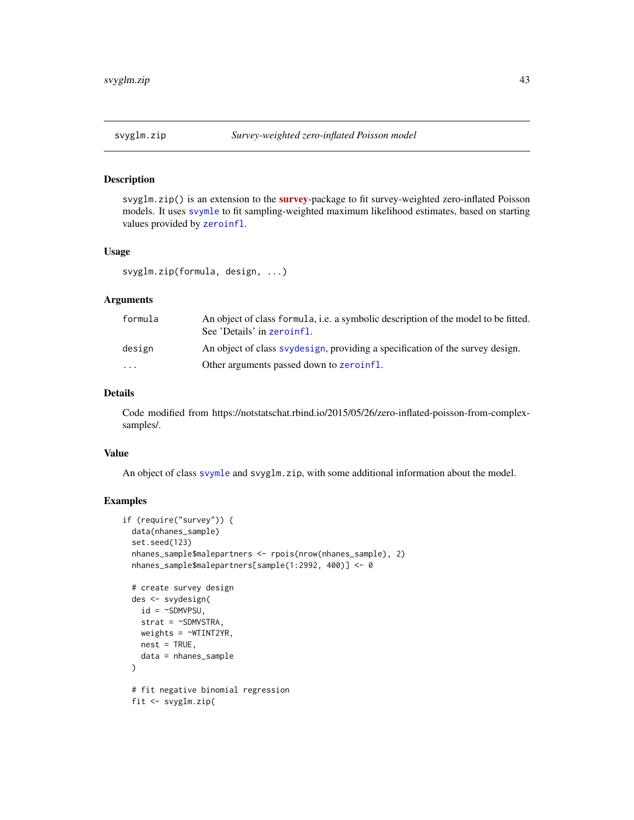#### <span id="page-42-0"></span>Description

svyglm.zip() is an extension to the [survey](https://CRAN.R-project.org/package=survey)-package to fit survey-weighted zero-inflated Poisson models. It uses [svymle](#page-0-0) to fit sampling-weighted maximum likelihood estimates, based on starting values provided by [zeroinfl](#page-0-0).

#### Usage

```
svyglm.zip(formula, design, ...)
```
#### Arguments

| formula                 | An object of class formula, i.e. a symbolic description of the model to be fitted.<br>See 'Details' in zeroinfl. |
|-------------------------|------------------------------------------------------------------------------------------------------------------|
| design                  | An object of class syydesign, providing a specification of the survey design.                                    |
| $\cdot$ $\cdot$ $\cdot$ | Other arguments passed down to zeroinfl.                                                                         |

#### Details

Code modified from https://notstatschat.rbind.io/2015/05/26/zero-inflated-poisson-from-complexsamples/.

#### Value

An object of class [svymle](#page-0-0) and svyglm.zip, with some additional information about the model.

```
if (require("survey")) {
 data(nhanes_sample)
 set.seed(123)
 nhanes_sample$malepartners <- rpois(nrow(nhanes_sample), 2)
 nhanes_sample$malepartners[sample(1:2992, 400)] <- 0
 # create survey design
 des <- svydesign(
   id = \simSDMVPSU,
   strat = ~SDMVSTRA,
   weights = \simWTINT2YR,
   nest = TRUE,data = nhanes_sample
 )
 # fit negative binomial regression
 fit <- svyglm.zip(
```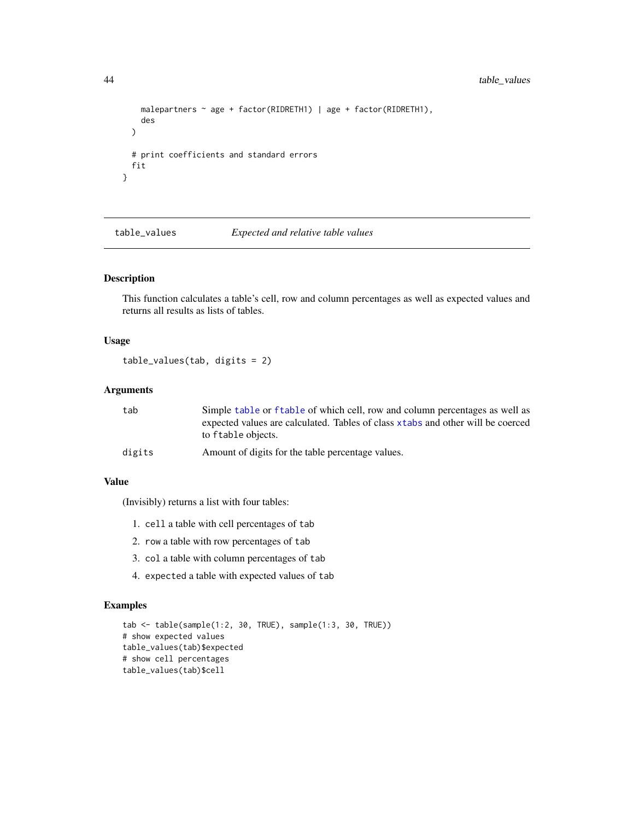```
malepartners ~ age + factor(RIDRETH1) | age + factor(RIDRETH1),
   des
 )
 # print coefficients and standard errors
 fit
}
```
table\_values *Expected and relative table values*

#### Description

This function calculates a table's cell, row and column percentages as well as expected values and returns all results as lists of tables.

#### Usage

table\_values(tab, digits = 2)

#### Arguments

| tab    | Simple table or f table of which cell, row and column percentages as well as    |
|--------|---------------------------------------------------------------------------------|
|        | expected values are calculated. Tables of class xtabs and other will be coerced |
|        | to f table objects.                                                             |
| digits | Amount of digits for the table percentage values.                               |

#### Value

(Invisibly) returns a list with four tables:

- 1. cell a table with cell percentages of tab
- 2. row a table with row percentages of tab
- 3. col a table with column percentages of tab
- 4. expected a table with expected values of tab

```
tab <- table(sample(1:2, 30, TRUE), sample(1:3, 30, TRUE))
# show expected values
table_values(tab)$expected
# show cell percentages
table_values(tab)$cell
```
<span id="page-43-0"></span>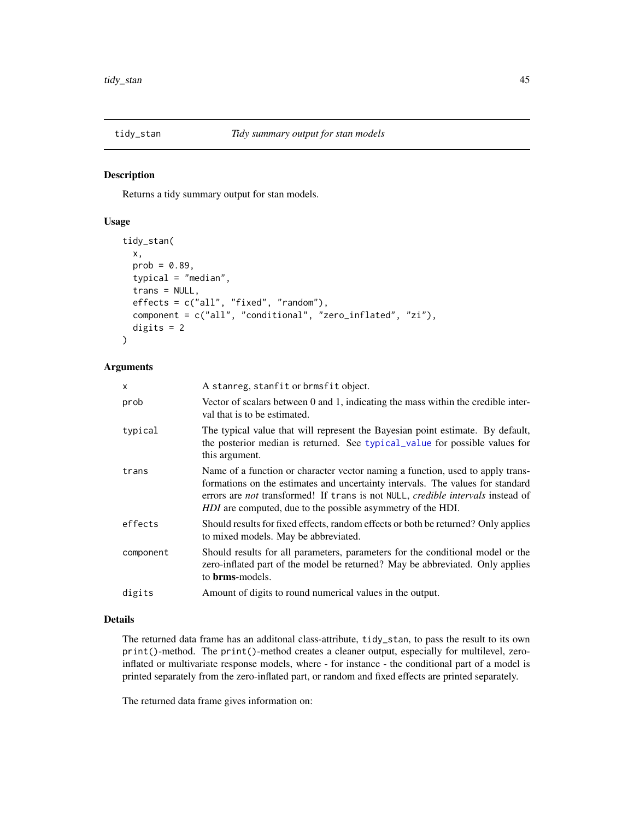<span id="page-44-0"></span>

#### Description

Returns a tidy summary output for stan models.

#### Usage

```
tidy_stan(
  x,
 prob = 0.89,
  typical = "median",
  trans = NULL,
  effects = c("all", "fixed", "random"),
  component = c("all", "conditional", "zero_inflated", "zi"),
  digits = 2)
```
#### Arguments

| $\mathsf{x}$ | A stanreg, stanfit or brmsfit object.                                                                                                                                                                                                                                                                                     |
|--------------|---------------------------------------------------------------------------------------------------------------------------------------------------------------------------------------------------------------------------------------------------------------------------------------------------------------------------|
| prob         | Vector of scalars between 0 and 1, indicating the mass within the credible inter-<br>val that is to be estimated.                                                                                                                                                                                                         |
| typical      | The typical value that will represent the Bayesian point estimate. By default,<br>the posterior median is returned. See typical_value for possible values for<br>this argument.                                                                                                                                           |
| trans        | Name of a function or character vector naming a function, used to apply trans-<br>formations on the estimates and uncertainty intervals. The values for standard<br>errors are not transformed! If trans is not NULL, credible intervals instead of<br><i>HDI</i> are computed, due to the possible asymmetry of the HDI. |
| effects      | Should results for fixed effects, random effects or both be returned? Only applies<br>to mixed models. May be abbreviated.                                                                                                                                                                                                |
| component    | Should results for all parameters, parameters for the conditional model or the<br>zero-inflated part of the model be returned? May be abbreviated. Only applies<br>to <b>brms</b> -models.                                                                                                                                |
| digits       | Amount of digits to round numerical values in the output.                                                                                                                                                                                                                                                                 |

#### Details

The returned data frame has an additonal class-attribute, tidy\_stan, to pass the result to its own print()-method. The print()-method creates a cleaner output, especially for multilevel, zeroinflated or multivariate response models, where - for instance - the conditional part of a model is printed separately from the zero-inflated part, or random and fixed effects are printed separately.

The returned data frame gives information on: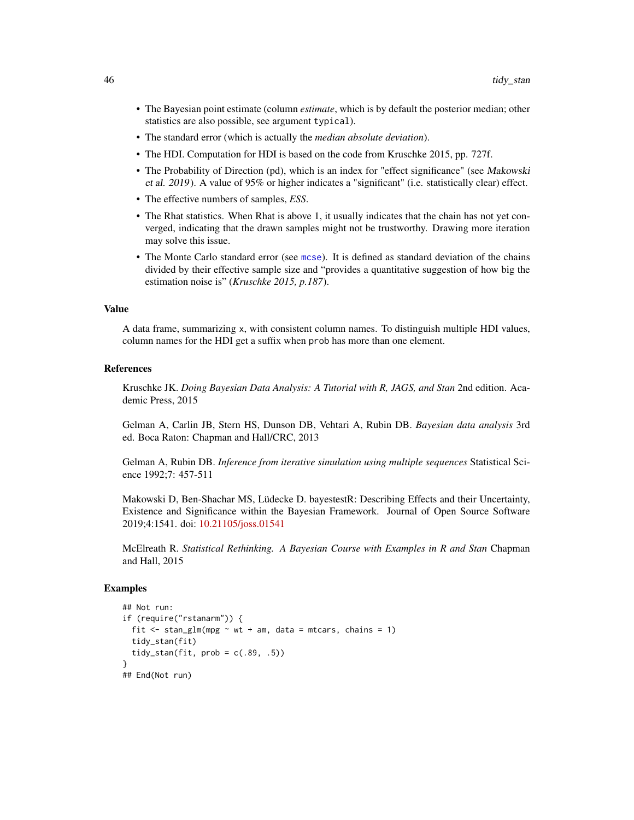- <span id="page-45-0"></span>• The Bayesian point estimate (column *estimate*, which is by default the posterior median; other statistics are also possible, see argument typical).
- The standard error (which is actually the *median absolute deviation*).
- The HDI. Computation for HDI is based on the code from Kruschke 2015, pp. 727f.
- The Probability of Direction (pd), which is an index for "effect significance" (see Makowski et al. 2019). A value of 95% or higher indicates a "significant" (i.e. statistically clear) effect.
- The effective numbers of samples, *ESS*.
- The Rhat statistics. When Rhat is above 1, it usually indicates that the chain has not yet converged, indicating that the drawn samples might not be trustworthy. Drawing more iteration may solve this issue.
- The Monte Carlo standard error (see [mcse](#page-0-0)). It is defined as standard deviation of the chains divided by their effective sample size and "provides a quantitative suggestion of how big the estimation noise is" (*Kruschke 2015, p.187*).

#### Value

A data frame, summarizing x, with consistent column names. To distinguish multiple HDI values, column names for the HDI get a suffix when prob has more than one element.

#### References

Kruschke JK. *Doing Bayesian Data Analysis: A Tutorial with R, JAGS, and Stan* 2nd edition. Academic Press, 2015

Gelman A, Carlin JB, Stern HS, Dunson DB, Vehtari A, Rubin DB. *Bayesian data analysis* 3rd ed. Boca Raton: Chapman and Hall/CRC, 2013

Gelman A, Rubin DB. *Inference from iterative simulation using multiple sequences* Statistical Science 1992;7: 457-511

Makowski D, Ben-Shachar MS, Lüdecke D. bayestestR: Describing Effects and their Uncertainty, Existence and Significance within the Bayesian Framework. Journal of Open Source Software 2019;4:1541. doi: [10.21105/joss.01541](https://doi.org/10.21105/joss.01541)

McElreath R. *Statistical Rethinking. A Bayesian Course with Examples in R and Stan* Chapman and Hall, 2015

```
## Not run:
if (require("rstanarm")) {
 fit \le stan_glm(mpg \sim wt + am, data = mtcars, chains = 1)
 tidy_stan(fit)
 tidy_stan(fit, prob = c(.89, .5))}
## End(Not run)
```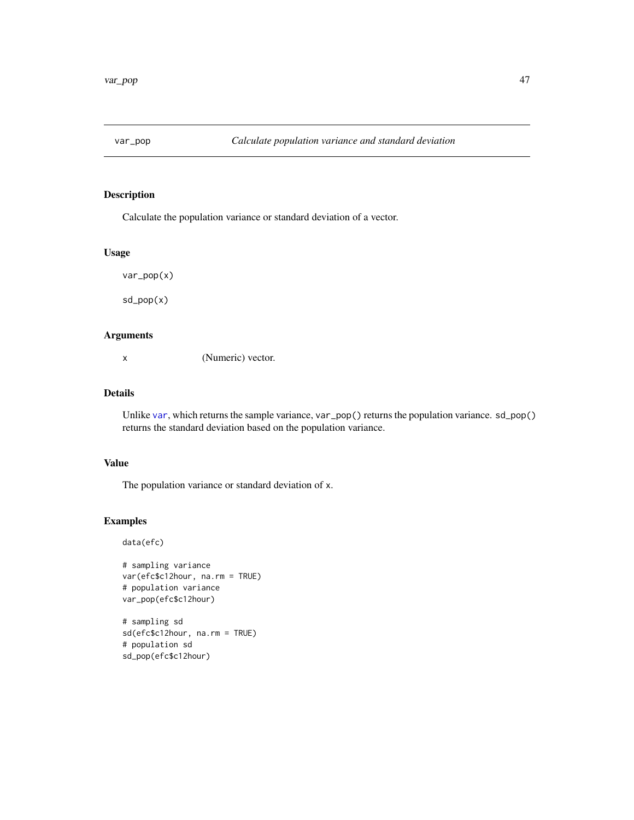<span id="page-46-0"></span>

#### Description

Calculate the population variance or standard deviation of a vector.

#### Usage

var\_pop(x)

sd\_pop(x)

#### Arguments

x (Numeric) vector.

#### Details

Unlike [var](#page-0-0), which returns the sample variance, var\_pop() returns the population variance. sd\_pop() returns the standard deviation based on the population variance.

#### Value

The population variance or standard deviation of x.

#### Examples

data(efc)

```
# sampling variance
var(efc$c12hour, na.rm = TRUE)
# population variance
var_pop(efc$c12hour)
```

```
# sampling sd
sd(efc$c12hour, na.rm = TRUE)
# population sd
sd_pop(efc$c12hour)
```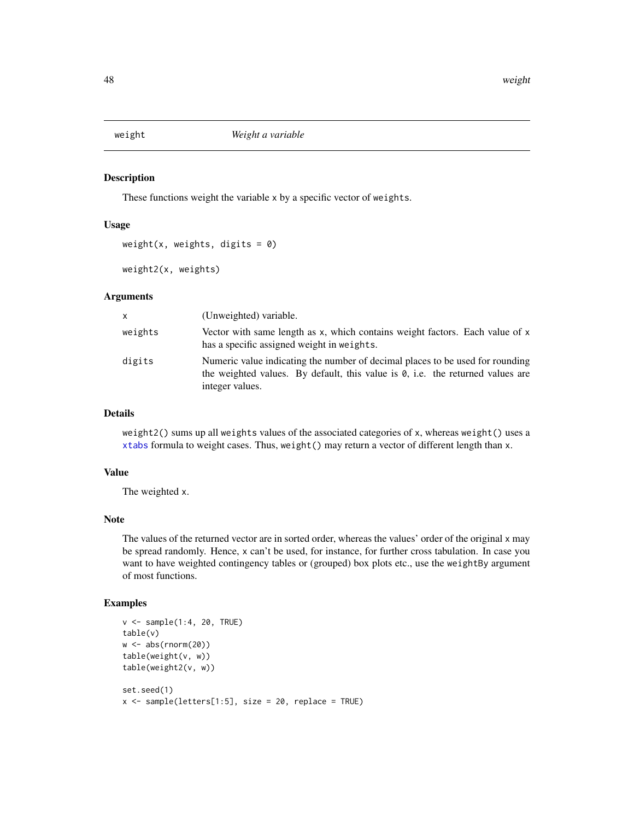<span id="page-47-0"></span>

#### Description

These functions weight the variable x by a specific vector of weights.

#### Usage

weight(x, weights, digits =  $0$ )

weight2(x, weights)

#### Arguments

| X       | (Unweighted) variable.                                                                                                                                                                     |
|---------|--------------------------------------------------------------------------------------------------------------------------------------------------------------------------------------------|
| weights | Vector with same length as $x$ , which contains weight factors. Each value of $x$<br>has a specific assigned weight in weights.                                                            |
| digits  | Numeric value indicating the number of decimal places to be used for rounding<br>the weighted values. By default, this value is $\theta$ , i.e. the returned values are<br>integer values. |

#### Details

weight2() sums up all weights values of the associated categories of x, whereas weight() uses a [xtabs](#page-0-0) formula to weight cases. Thus, weight() may return a vector of different length than x.

#### Value

The weighted x.

#### Note

The values of the returned vector are in sorted order, whereas the values' order of the original x may be spread randomly. Hence, x can't be used, for instance, for further cross tabulation. In case you want to have weighted contingency tables or (grouped) box plots etc., use the weightBy argument of most functions.

```
v \leq - sample(1:4, 20, TRUE)
table(v)
w <- abs(rnorm(20))
table(weight(v, w))
table(weight2(v, w))
set.seed(1)
x \leq - sample(letters[1:5], size = 20, replace = TRUE)
```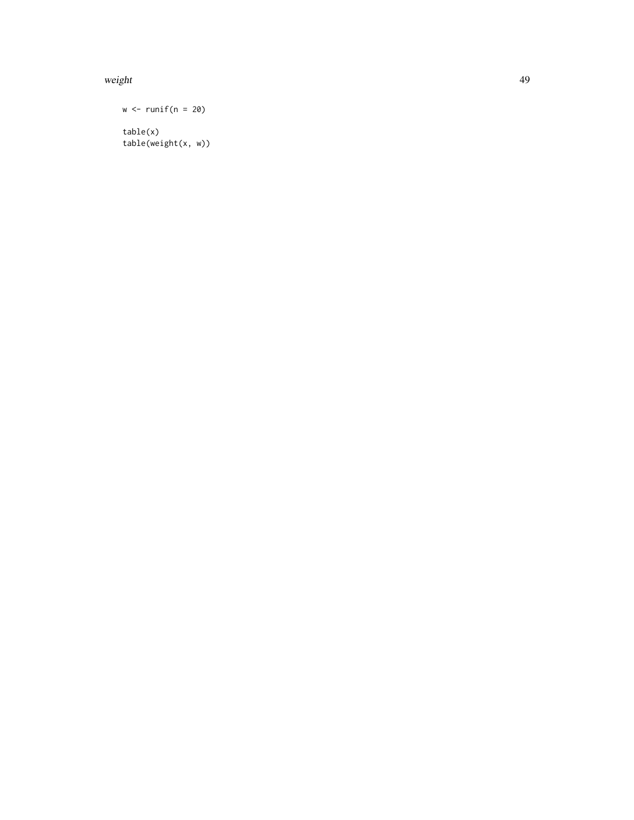#### weight the contract of the contract of the contract of the contract of the contract of the contract of the contract of the contract of the contract of the contract of the contract of the contract of the contract of the con

 $w \leftarrow runif(n = 20)$ table(x) table(weight(x, w))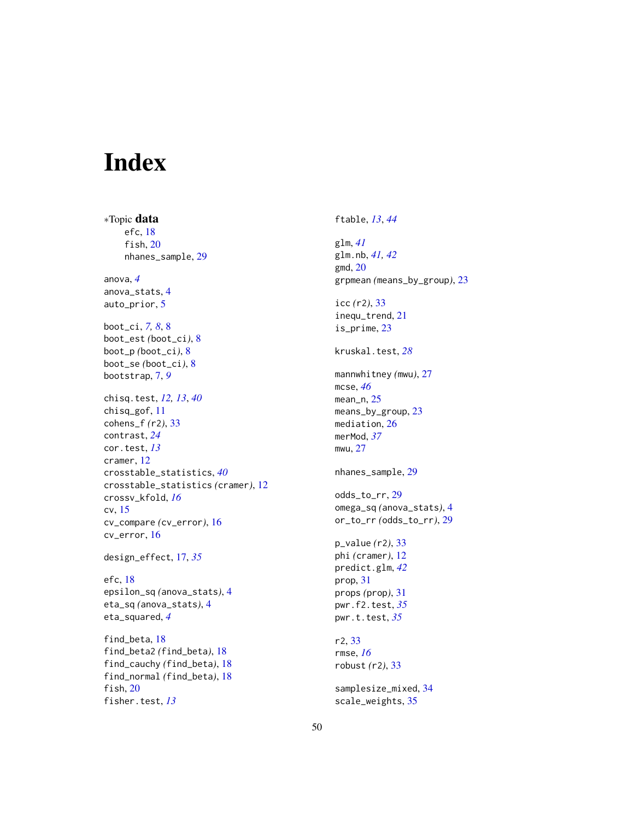# <span id="page-49-0"></span>Index

∗Topic data efc, [18](#page-17-0) fish, [20](#page-19-0) nhanes\_sample, [29](#page-28-0) anova, *[4](#page-3-0)* anova\_stats, [4](#page-3-0) auto\_prior, [5](#page-4-0) boot\_ci, *[7,](#page-6-0) [8](#page-7-0)*, [8](#page-7-0) boot\_est *(*boot\_ci*)*, [8](#page-7-0) boot\_p *(*boot\_ci*)*, [8](#page-7-0) boot\_se *(*boot\_ci*)*, [8](#page-7-0) bootstrap, [7,](#page-6-0) *[9](#page-8-0)* chisq.test, *[12,](#page-11-0) [13](#page-12-0)*, *[40](#page-39-0)* chisq\_gof, [11](#page-10-0) cohens\_f *(*r2*)*, [33](#page-32-0) contrast, *[24](#page-23-0)* cor.test, *[13](#page-12-0)* cramer, [12](#page-11-0) crosstable\_statistics, *[40](#page-39-0)* crosstable\_statistics *(*cramer*)*, [12](#page-11-0) crossv\_kfold, *[16](#page-15-0)* cv, [15](#page-14-0) cv\_compare *(*cv\_error*)*, [16](#page-15-0) cv\_error, [16](#page-15-0) design\_effect, [17,](#page-16-0) *[35](#page-34-0)* efc, [18](#page-17-0) epsilon\_sq *(*anova\_stats*)*, [4](#page-3-0) eta\_sq *(*anova\_stats*)*, [4](#page-3-0)

find\_beta, [18](#page-17-0) find\_beta2 *(*find\_beta*)*, [18](#page-17-0) find\_cauchy *(*find\_beta*)*, [18](#page-17-0) find\_normal *(*find\_beta*)*, [18](#page-17-0) fish, [20](#page-19-0) fisher.test, *[13](#page-12-0)*

eta\_squared, *[4](#page-3-0)*

ftable, *[13](#page-12-0)*, *[44](#page-43-0)*

glm, *[41](#page-40-0)* glm.nb, *[41,](#page-40-0) [42](#page-41-0)* gmd, [20](#page-19-0) grpmean *(*means\_by\_group*)*, [23](#page-22-0) icc *(*r2*)*, [33](#page-32-0) inequ\_trend, [21](#page-20-0) is\_prime, [23](#page-22-0) kruskal.test, *[28](#page-27-0)* mannwhitney *(*mwu*)*, [27](#page-26-0) mcse, *[46](#page-45-0)* mean\_n, [25](#page-24-0) means\_by\_group, [23](#page-22-0) mediation, [26](#page-25-0) merMod, *[37](#page-36-0)* mwu, [27](#page-26-0) nhanes\_sample, [29](#page-28-0) odds\_to\_rr, [29](#page-28-0) omega\_sq *(*anova\_stats*)*, [4](#page-3-0) or\_to\_rr *(*odds\_to\_rr*)*, [29](#page-28-0) p\_value *(*r2*)*, [33](#page-32-0) phi *(*cramer*)*, [12](#page-11-0) predict.glm, *[42](#page-41-0)* prop, [31](#page-30-0) props *(*prop*)*, [31](#page-30-0) pwr.f2.test, *[35](#page-34-0)* pwr.t.test, *[35](#page-34-0)* r2, [33](#page-32-0) rmse, *[16](#page-15-0)* robust *(*r2*)*, [33](#page-32-0) samplesize\_mixed, [34](#page-33-0) scale\_weights, [35](#page-34-0)